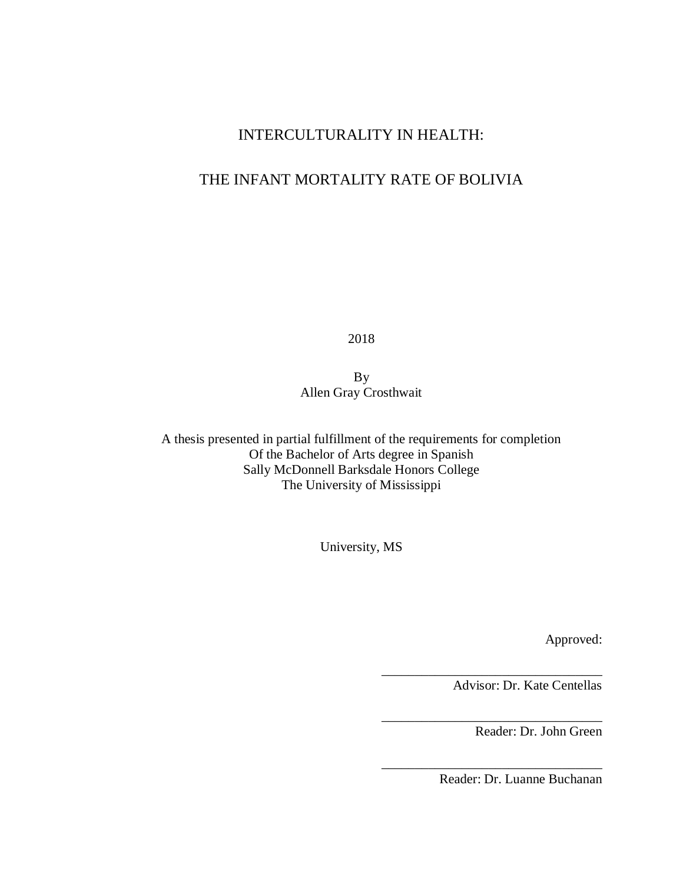## INTERCULTURALITY IN HEALTH:

## THE INFANT MORTALITY RATE OF BOLIVIA

2018

By Allen Gray Crosthwait

A thesis presented in partial fulfillment of the requirements for completion Of the Bachelor of Arts degree in Spanish Sally McDonnell Barksdale Honors College The University of Mississippi

University, MS

Approved:

Advisor: Dr. Kate Centellas

\_\_\_\_\_\_\_\_\_\_\_\_\_\_\_\_\_\_\_\_\_\_\_\_\_\_\_\_\_\_\_\_\_

\_\_\_\_\_\_\_\_\_\_\_\_\_\_\_\_\_\_\_\_\_\_\_\_\_\_\_\_\_\_\_\_\_

\_\_\_\_\_\_\_\_\_\_\_\_\_\_\_\_\_\_\_\_\_\_\_\_\_\_\_\_\_\_\_\_\_

Reader: Dr. John Green

Reader: Dr. Luanne Buchanan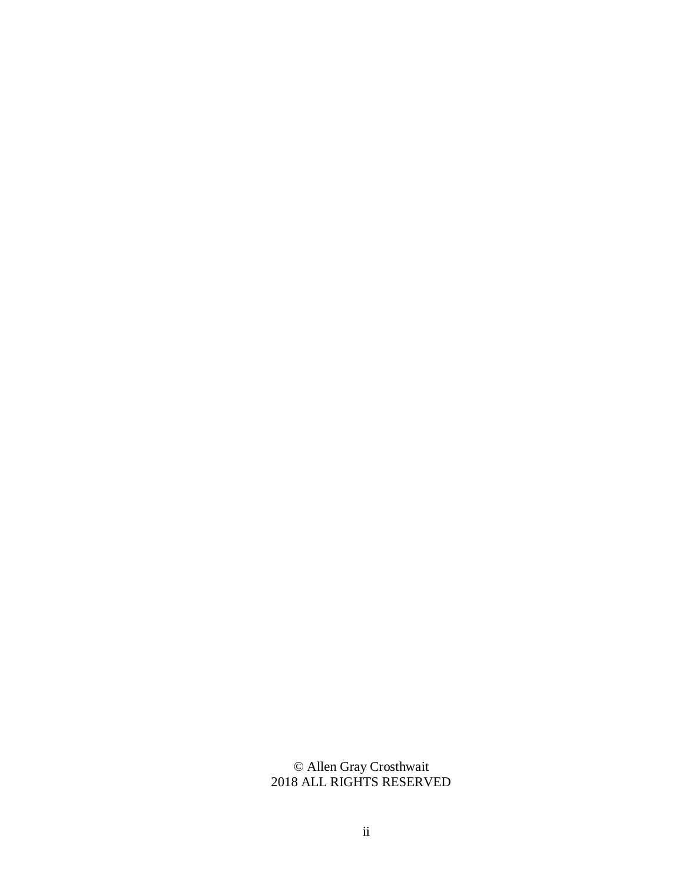© Allen Gray Crosthwait 2018 ALL RIGHTS RESERVED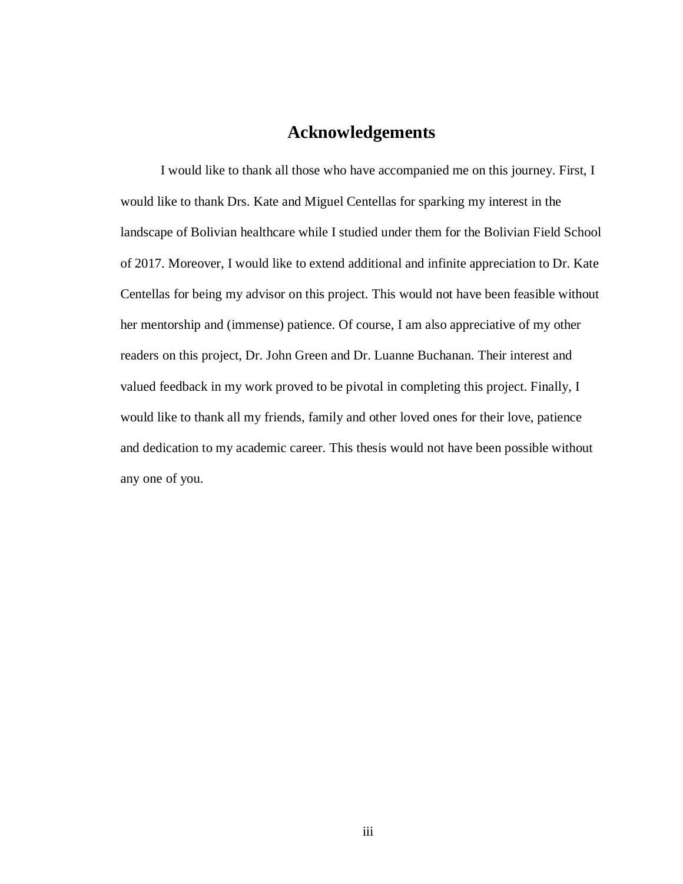## **Acknowledgements**

I would like to thank all those who have accompanied me on this journey. First, I would like to thank Drs. Kate and Miguel Centellas for sparking my interest in the landscape of Bolivian healthcare while I studied under them for the Bolivian Field School of 2017. Moreover, I would like to extend additional and infinite appreciation to Dr. Kate Centellas for being my advisor on this project. This would not have been feasible without her mentorship and (immense) patience. Of course, I am also appreciative of my other readers on this project, Dr. John Green and Dr. Luanne Buchanan. Their interest and valued feedback in my work proved to be pivotal in completing this project. Finally, I would like to thank all my friends, family and other loved ones for their love, patience and dedication to my academic career. This thesis would not have been possible without any one of you.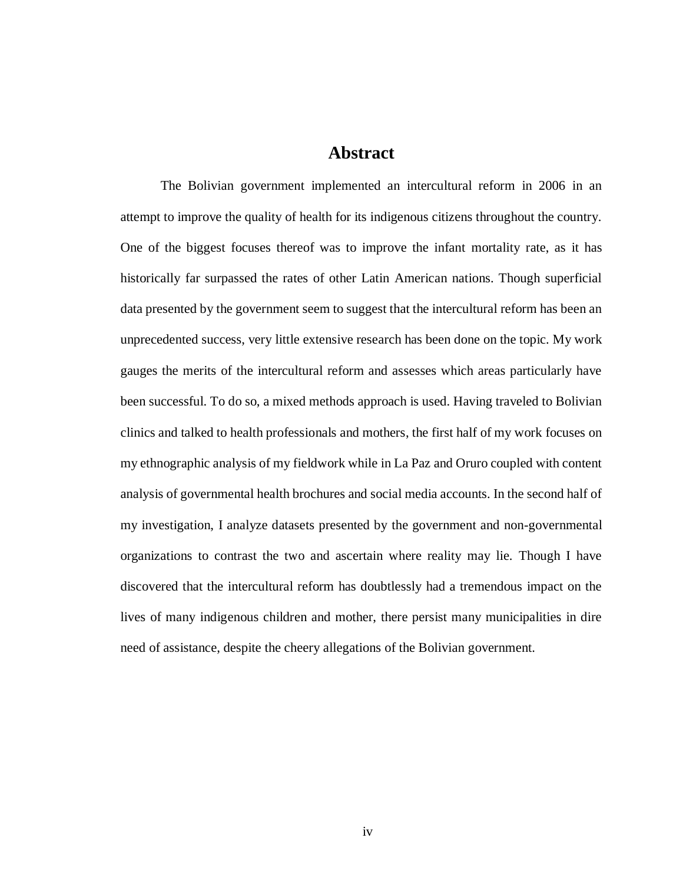### **Abstract**

The Bolivian government implemented an intercultural reform in 2006 in an attempt to improve the quality of health for its indigenous citizens throughout the country. One of the biggest focuses thereof was to improve the infant mortality rate, as it has historically far surpassed the rates of other Latin American nations. Though superficial data presented by the government seem to suggest that the intercultural reform has been an unprecedented success, very little extensive research has been done on the topic. My work gauges the merits of the intercultural reform and assesses which areas particularly have been successful. To do so, a mixed methods approach is used. Having traveled to Bolivian clinics and talked to health professionals and mothers, the first half of my work focuses on my ethnographic analysis of my fieldwork while in La Paz and Oruro coupled with content analysis of governmental health brochures and social media accounts. In the second half of my investigation, I analyze datasets presented by the government and non-governmental organizations to contrast the two and ascertain where reality may lie. Though I have discovered that the intercultural reform has doubtlessly had a tremendous impact on the lives of many indigenous children and mother, there persist many municipalities in dire need of assistance, despite the cheery allegations of the Bolivian government.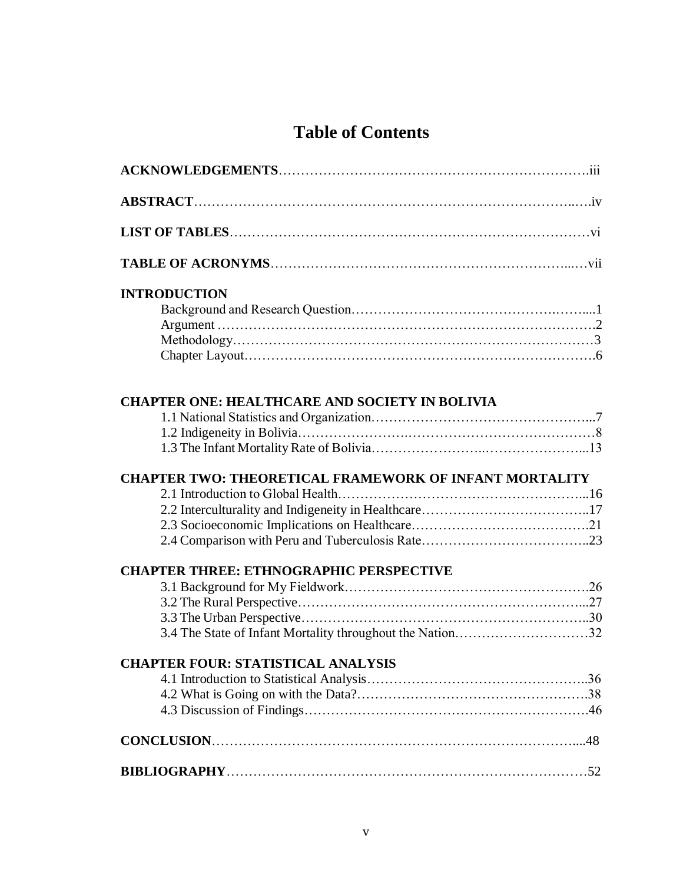# **Table of Contents**

| <b>INTRODUCTION</b>                                           |  |
|---------------------------------------------------------------|--|
|                                                               |  |
|                                                               |  |
|                                                               |  |
|                                                               |  |
| <b>CHAPTER ONE: HEALTHCARE AND SOCIETY IN BOLIVIA</b>         |  |
|                                                               |  |
|                                                               |  |
|                                                               |  |
| <b>CHAPTER TWO: THEORETICAL FRAMEWORK OF INFANT MORTALITY</b> |  |
|                                                               |  |
|                                                               |  |
|                                                               |  |
|                                                               |  |
| <b>CHAPTER THREE: ETHNOGRAPHIC PERSPECTIVE</b>                |  |
|                                                               |  |
|                                                               |  |
|                                                               |  |
|                                                               |  |
| <b>CHAPTER FOUR: STATISTICAL ANALYSIS</b>                     |  |
|                                                               |  |
|                                                               |  |
|                                                               |  |
|                                                               |  |
|                                                               |  |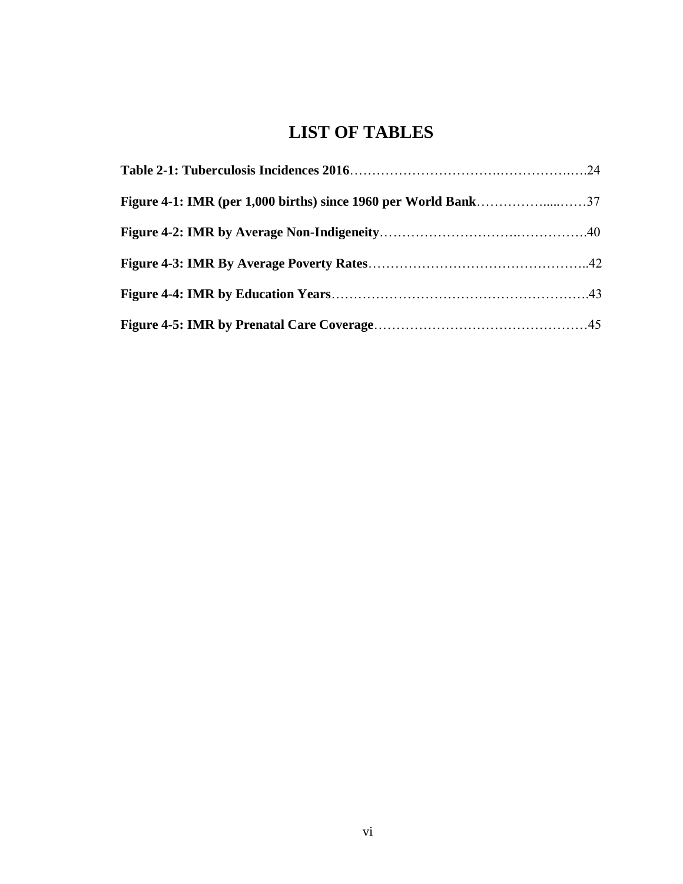# **LIST OF TABLES**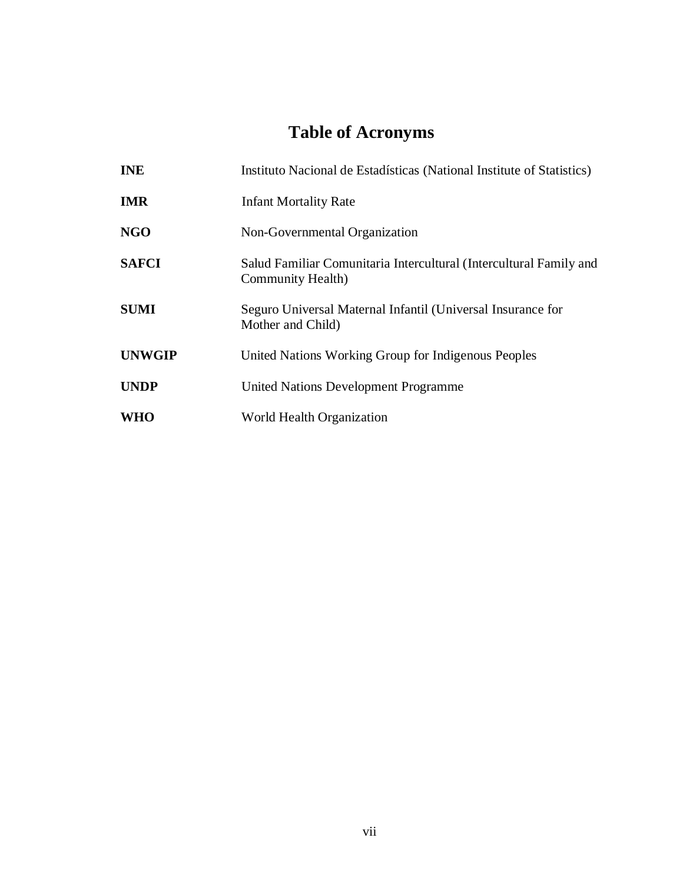# **Table of Acronyms**

| <b>INE</b>    | Instituto Nacional de Estadísticas (National Institute of Statistics)                   |  |  |  |
|---------------|-----------------------------------------------------------------------------------------|--|--|--|
| <b>IMR</b>    | <b>Infant Mortality Rate</b>                                                            |  |  |  |
| <b>NGO</b>    | Non-Governmental Organization                                                           |  |  |  |
| <b>SAFCI</b>  | Salud Familiar Comunitaria Intercultural (Intercultural Family and<br>Community Health) |  |  |  |
| <b>SUMI</b>   | Seguro Universal Maternal Infantil (Universal Insurance for<br>Mother and Child)        |  |  |  |
| <b>UNWGIP</b> | United Nations Working Group for Indigenous Peoples                                     |  |  |  |
| <b>UNDP</b>   | United Nations Development Programme                                                    |  |  |  |
| <b>WHO</b>    | World Health Organization                                                               |  |  |  |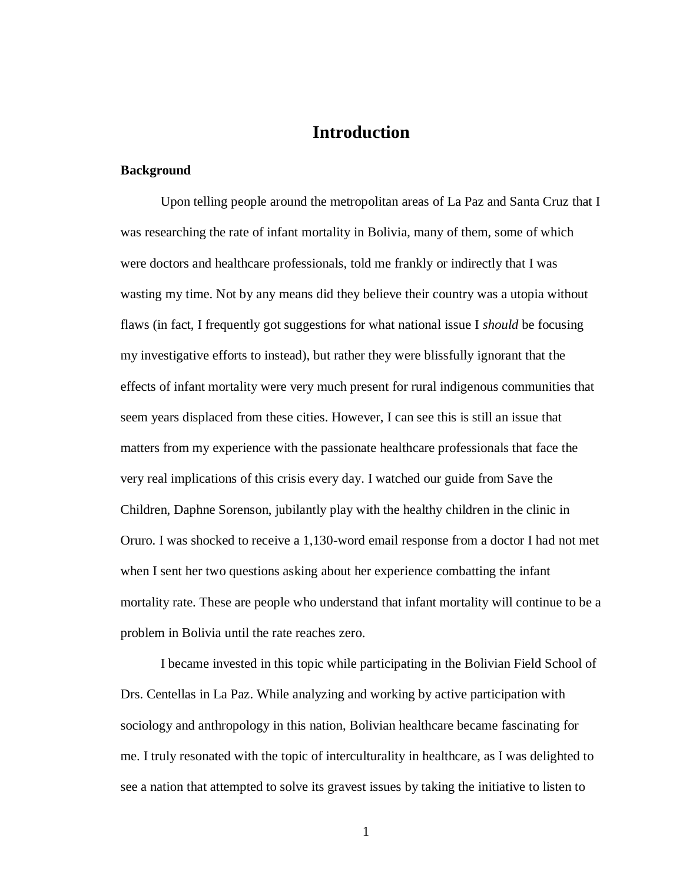## **Introduction**

#### **Background**

Upon telling people around the metropolitan areas of La Paz and Santa Cruz that I was researching the rate of infant mortality in Bolivia, many of them, some of which were doctors and healthcare professionals, told me frankly or indirectly that I was wasting my time. Not by any means did they believe their country was a utopia without flaws (in fact, I frequently got suggestions for what national issue I *should* be focusing my investigative efforts to instead), but rather they were blissfully ignorant that the effects of infant mortality were very much present for rural indigenous communities that seem years displaced from these cities. However, I can see this is still an issue that matters from my experience with the passionate healthcare professionals that face the very real implications of this crisis every day. I watched our guide from Save the Children, Daphne Sorenson, jubilantly play with the healthy children in the clinic in Oruro. I was shocked to receive a 1,130-word email response from a doctor I had not met when I sent her two questions asking about her experience combatting the infant mortality rate. These are people who understand that infant mortality will continue to be a problem in Bolivia until the rate reaches zero.

I became invested in this topic while participating in the Bolivian Field School of Drs. Centellas in La Paz. While analyzing and working by active participation with sociology and anthropology in this nation, Bolivian healthcare became fascinating for me. I truly resonated with the topic of interculturality in healthcare, as I was delighted to see a nation that attempted to solve its gravest issues by taking the initiative to listen to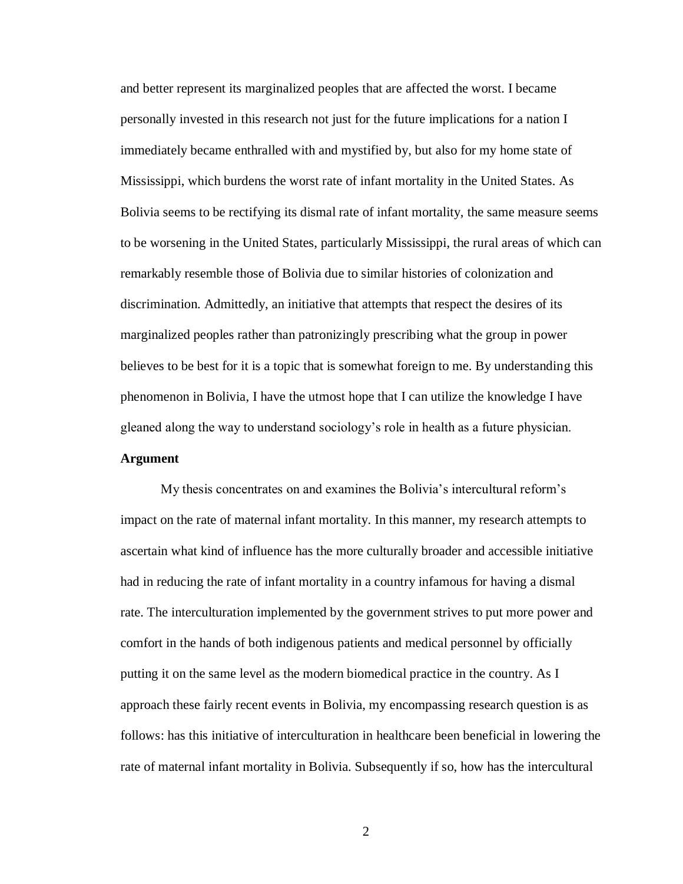and better represent its marginalized peoples that are affected the worst. I became personally invested in this research not just for the future implications for a nation I immediately became enthralled with and mystified by, but also for my home state of Mississippi, which burdens the worst rate of infant mortality in the United States. As Bolivia seems to be rectifying its dismal rate of infant mortality, the same measure seems to be worsening in the United States, particularly Mississippi, the rural areas of which can remarkably resemble those of Bolivia due to similar histories of colonization and discrimination. Admittedly, an initiative that attempts that respect the desires of its marginalized peoples rather than patronizingly prescribing what the group in power believes to be best for it is a topic that is somewhat foreign to me. By understanding this phenomenon in Bolivia, I have the utmost hope that I can utilize the knowledge I have gleaned along the way to understand sociology's role in health as a future physician.

#### **Argument**

My thesis concentrates on and examines the Bolivia's intercultural reform's impact on the rate of maternal infant mortality. In this manner, my research attempts to ascertain what kind of influence has the more culturally broader and accessible initiative had in reducing the rate of infant mortality in a country infamous for having a dismal rate. The interculturation implemented by the government strives to put more power and comfort in the hands of both indigenous patients and medical personnel by officially putting it on the same level as the modern biomedical practice in the country. As I approach these fairly recent events in Bolivia, my encompassing research question is as follows: has this initiative of interculturation in healthcare been beneficial in lowering the rate of maternal infant mortality in Bolivia. Subsequently if so, how has the intercultural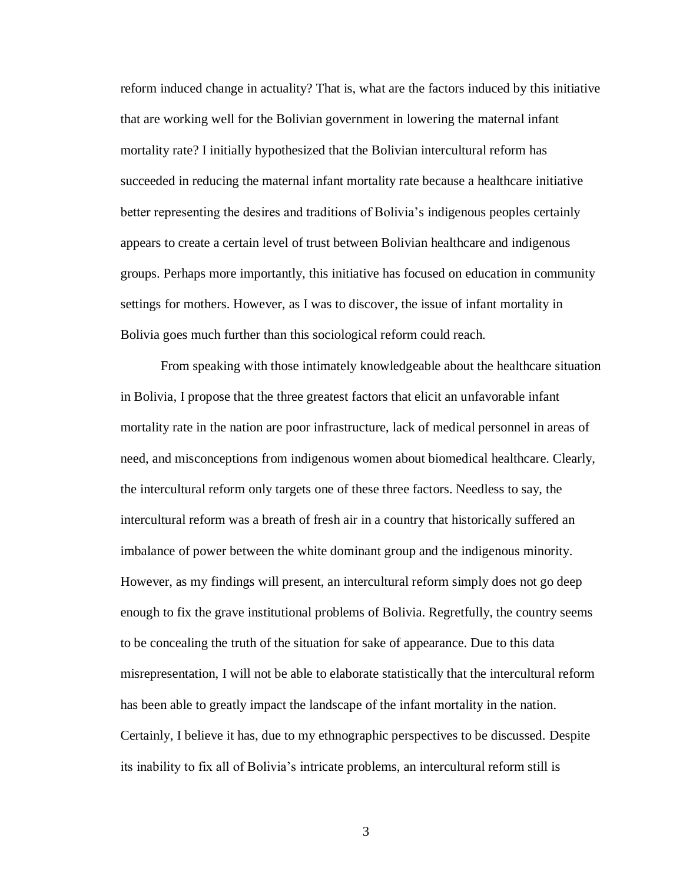reform induced change in actuality? That is, what are the factors induced by this initiative that are working well for the Bolivian government in lowering the maternal infant mortality rate? I initially hypothesized that the Bolivian intercultural reform has succeeded in reducing the maternal infant mortality rate because a healthcare initiative better representing the desires and traditions of Bolivia's indigenous peoples certainly appears to create a certain level of trust between Bolivian healthcare and indigenous groups. Perhaps more importantly, this initiative has focused on education in community settings for mothers. However, as I was to discover, the issue of infant mortality in Bolivia goes much further than this sociological reform could reach.

From speaking with those intimately knowledgeable about the healthcare situation in Bolivia, I propose that the three greatest factors that elicit an unfavorable infant mortality rate in the nation are poor infrastructure, lack of medical personnel in areas of need, and misconceptions from indigenous women about biomedical healthcare. Clearly, the intercultural reform only targets one of these three factors. Needless to say, the intercultural reform was a breath of fresh air in a country that historically suffered an imbalance of power between the white dominant group and the indigenous minority. However, as my findings will present, an intercultural reform simply does not go deep enough to fix the grave institutional problems of Bolivia. Regretfully, the country seems to be concealing the truth of the situation for sake of appearance. Due to this data misrepresentation, I will not be able to elaborate statistically that the intercultural reform has been able to greatly impact the landscape of the infant mortality in the nation. Certainly, I believe it has, due to my ethnographic perspectives to be discussed. Despite its inability to fix all of Bolivia's intricate problems, an intercultural reform still is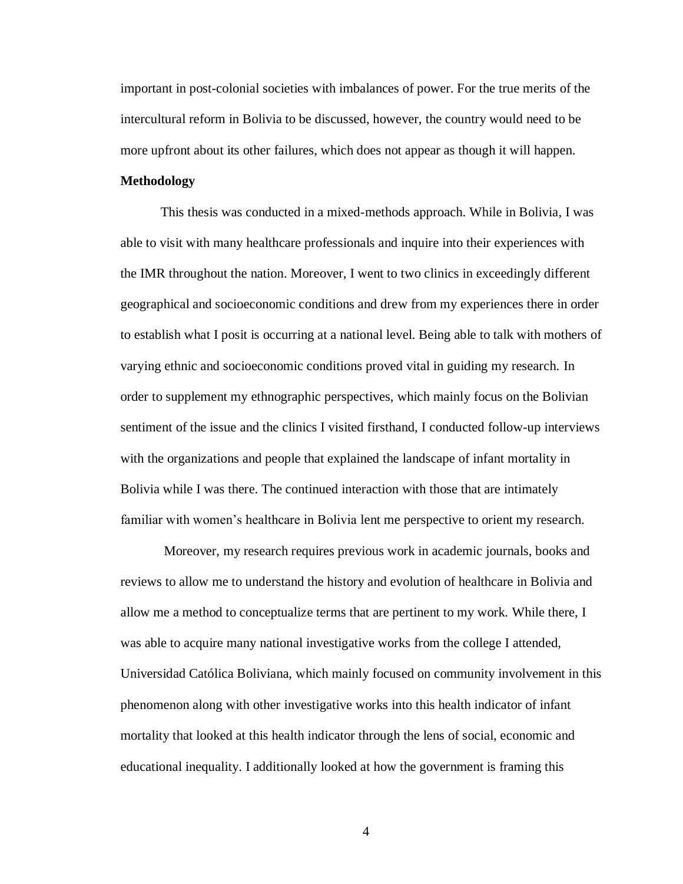important in post-colonial societies with imbalances of power. For the true merits of the intercultural reform in Bolivia to be discussed, however, the country would need to be more upfront about its other failures, which does not appear as though it will happen.

#### **Methodology**

This thesis was conducted in a mixed-methods approach. While in Bolivia, I was able to visit with many healthcare professionals and inquire into their experiences with the IMR throughout the nation. Moreover, I went to two clinics in exceedingly different geographical and socioeconomic conditions and drew from my experiences there in order to establish what I posit is occurring at a national level. Being able to talk with mothers of varying ethnic and socioeconomic conditions proved vital in guiding my research. In order to supplement my ethnographic perspectives, which mainly focus on the Bolivian sentiment of the issue and the clinics I visited firsthand, I conducted follow-up interviews with the organizations and people that explained the landscape of infant mortality in Bolivia while I was there. The continued interaction with those that are intimately familiar with women's healthcare in Bolivia lent me perspective to orient my research.

Moreover, my research requires previous work in academic journals, books and reviews to allow me to understand the history and evolution of healthcare in Bolivia and allow me a method to conceptualize terms that are pertinent to my work. While there, I was able to acquire many national investigative works from the college I attended, Universidad Católica Boliviana, which mainly focused on community involvement in this phenomenon along with other investigative works into this health indicator of infant mortality that looked at this health indicator through the lens of social, economic and educational inequality. I additionally looked at how the government is framing this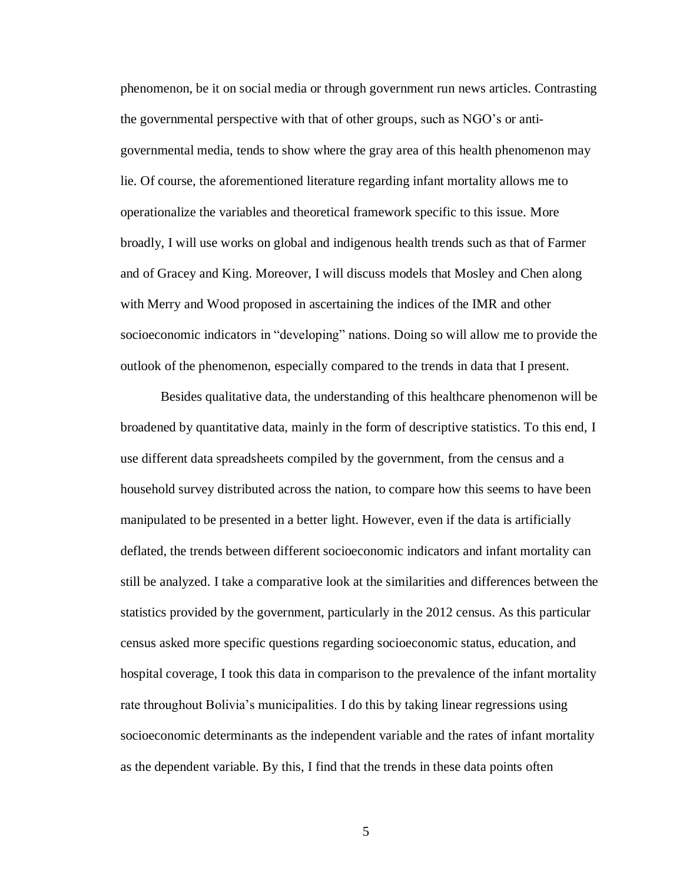phenomenon, be it on social media or through government run news articles. Contrasting the governmental perspective with that of other groups, such as NGO's or antigovernmental media, tends to show where the gray area of this health phenomenon may lie. Of course, the aforementioned literature regarding infant mortality allows me to operationalize the variables and theoretical framework specific to this issue. More broadly, I will use works on global and indigenous health trends such as that of Farmer and of Gracey and King. Moreover, I will discuss models that Mosley and Chen along with Merry and Wood proposed in ascertaining the indices of the IMR and other socioeconomic indicators in "developing" nations. Doing so will allow me to provide the outlook of the phenomenon, especially compared to the trends in data that I present.

Besides qualitative data, the understanding of this healthcare phenomenon will be broadened by quantitative data, mainly in the form of descriptive statistics. To this end, I use different data spreadsheets compiled by the government, from the census and a household survey distributed across the nation, to compare how this seems to have been manipulated to be presented in a better light. However, even if the data is artificially deflated, the trends between different socioeconomic indicators and infant mortality can still be analyzed. I take a comparative look at the similarities and differences between the statistics provided by the government, particularly in the 2012 census. As this particular census asked more specific questions regarding socioeconomic status, education, and hospital coverage, I took this data in comparison to the prevalence of the infant mortality rate throughout Bolivia's municipalities. I do this by taking linear regressions using socioeconomic determinants as the independent variable and the rates of infant mortality as the dependent variable. By this, I find that the trends in these data points often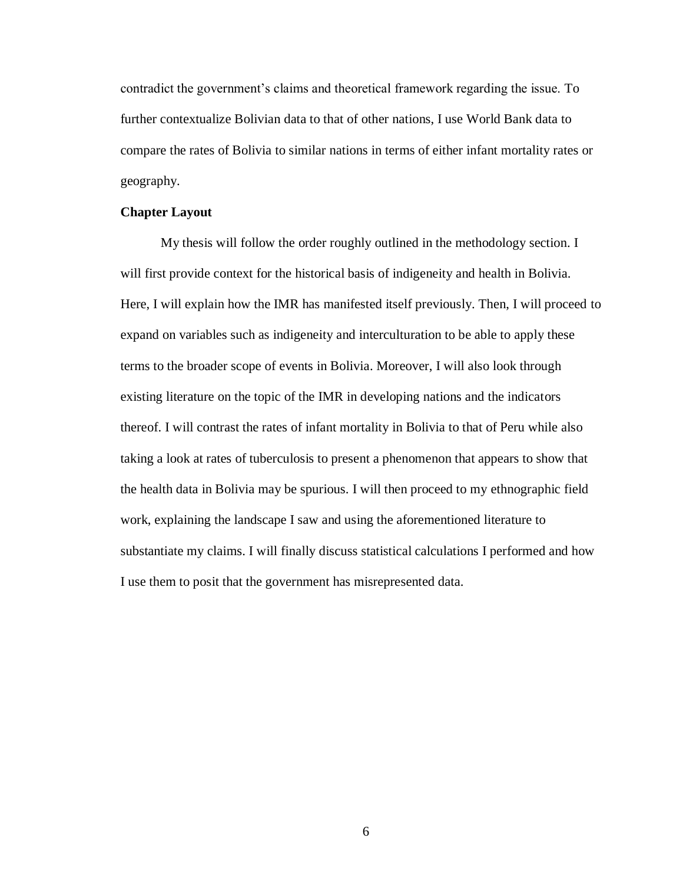contradict the government's claims and theoretical framework regarding the issue. To further contextualize Bolivian data to that of other nations, I use World Bank data to compare the rates of Bolivia to similar nations in terms of either infant mortality rates or geography.

#### **Chapter Layout**

My thesis will follow the order roughly outlined in the methodology section. I will first provide context for the historical basis of indigeneity and health in Bolivia. Here, I will explain how the IMR has manifested itself previously. Then, I will proceed to expand on variables such as indigeneity and interculturation to be able to apply these terms to the broader scope of events in Bolivia. Moreover, I will also look through existing literature on the topic of the IMR in developing nations and the indicators thereof. I will contrast the rates of infant mortality in Bolivia to that of Peru while also taking a look at rates of tuberculosis to present a phenomenon that appears to show that the health data in Bolivia may be spurious. I will then proceed to my ethnographic field work, explaining the landscape I saw and using the aforementioned literature to substantiate my claims. I will finally discuss statistical calculations I performed and how I use them to posit that the government has misrepresented data.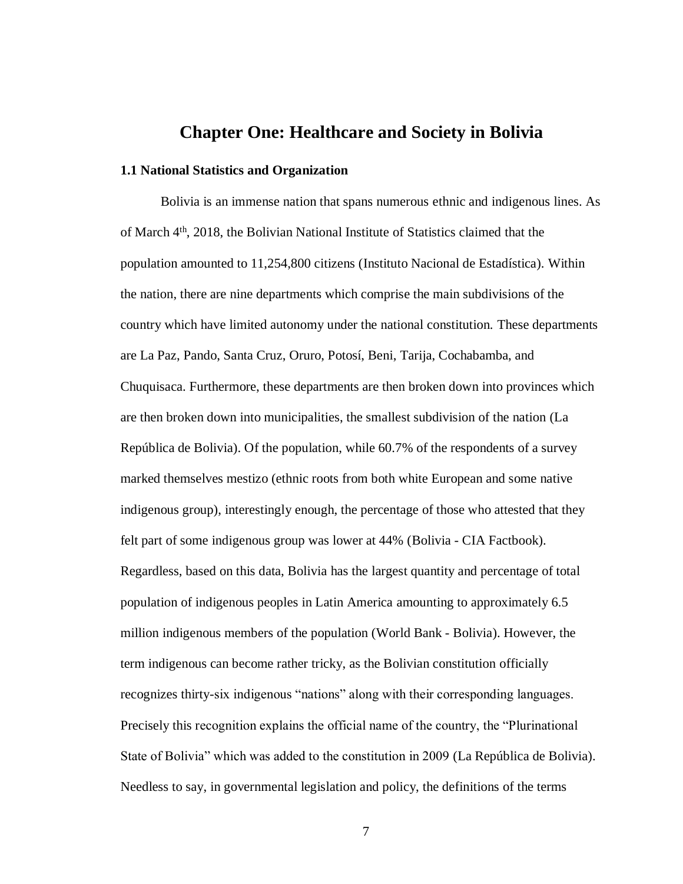## **Chapter One: Healthcare and Society in Bolivia**

#### **1.1 National Statistics and Organization**

Bolivia is an immense nation that spans numerous ethnic and indigenous lines. As of March 4th, 2018, the Bolivian National Institute of Statistics claimed that the population amounted to 11,254,800 citizens (Instituto Nacional de Estadística). Within the nation, there are nine departments which comprise the main subdivisions of the country which have limited autonomy under the national constitution. These departments are La Paz, Pando, Santa Cruz, Oruro, Potosí, Beni, Tarija, Cochabamba, and Chuquisaca. Furthermore, these departments are then broken down into provinces which are then broken down into municipalities, the smallest subdivision of the nation (La República de Bolivia). Of the population, while 60.7% of the respondents of a survey marked themselves mestizo (ethnic roots from both white European and some native indigenous group), interestingly enough, the percentage of those who attested that they felt part of some indigenous group was lower at 44% (Bolivia - CIA Factbook). Regardless, based on this data, Bolivia has the largest quantity and percentage of total population of indigenous peoples in Latin America amounting to approximately 6.5 million indigenous members of the population (World Bank - Bolivia). However, the term indigenous can become rather tricky, as the Bolivian constitution officially recognizes thirty-six indigenous "nations" along with their corresponding languages. Precisely this recognition explains the official name of the country, the "Plurinational State of Bolivia" which was added to the constitution in 2009 (La República de Bolivia). Needless to say, in governmental legislation and policy, the definitions of the terms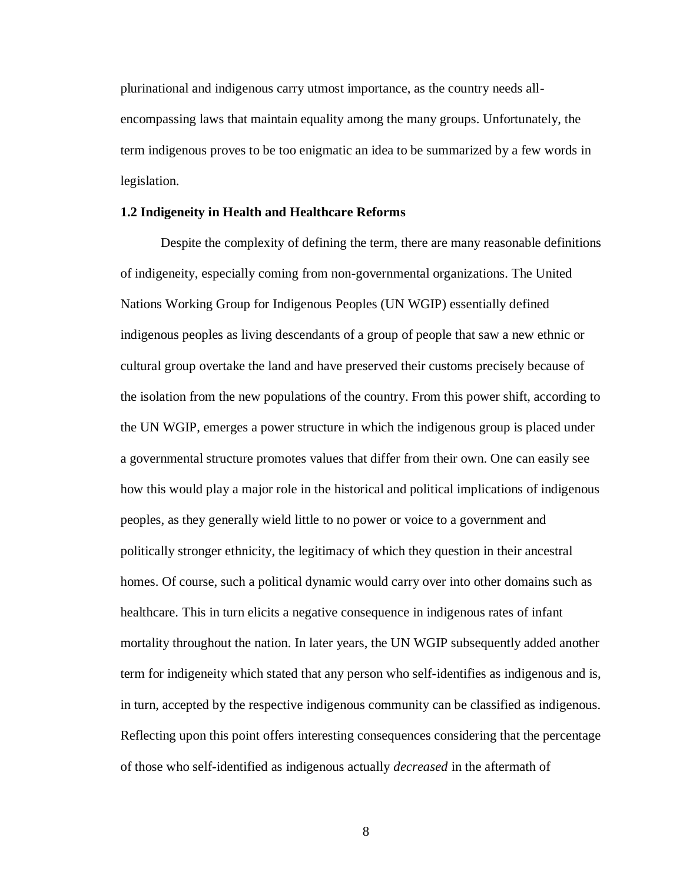plurinational and indigenous carry utmost importance, as the country needs allencompassing laws that maintain equality among the many groups. Unfortunately, the term indigenous proves to be too enigmatic an idea to be summarized by a few words in legislation.

#### **1.2 Indigeneity in Health and Healthcare Reforms**

Despite the complexity of defining the term, there are many reasonable definitions of indigeneity, especially coming from non-governmental organizations. The United Nations Working Group for Indigenous Peoples (UN WGIP) essentially defined indigenous peoples as living descendants of a group of people that saw a new ethnic or cultural group overtake the land and have preserved their customs precisely because of the isolation from the new populations of the country. From this power shift, according to the UN WGIP, emerges a power structure in which the indigenous group is placed under a governmental structure promotes values that differ from their own. One can easily see how this would play a major role in the historical and political implications of indigenous peoples, as they generally wield little to no power or voice to a government and politically stronger ethnicity, the legitimacy of which they question in their ancestral homes. Of course, such a political dynamic would carry over into other domains such as healthcare. This in turn elicits a negative consequence in indigenous rates of infant mortality throughout the nation. In later years, the UN WGIP subsequently added another term for indigeneity which stated that any person who self-identifies as indigenous and is, in turn, accepted by the respective indigenous community can be classified as indigenous. Reflecting upon this point offers interesting consequences considering that the percentage of those who self-identified as indigenous actually *decreased* in the aftermath of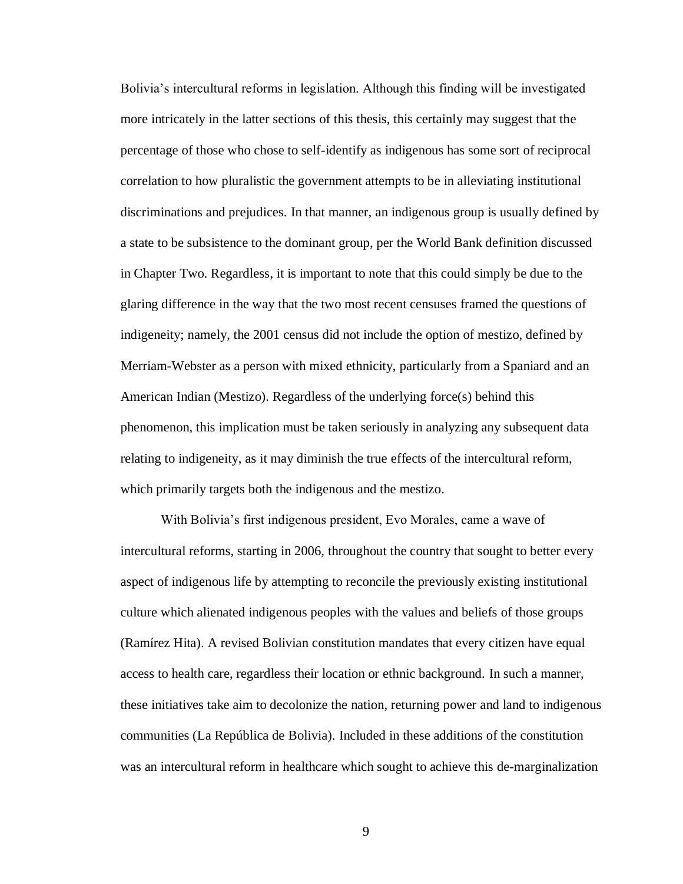Bolivia's intercultural reforms in legislation. Although this finding will be investigated more intricately in the latter sections of this thesis, this certainly may suggest that the percentage of those who chose to self-identify as indigenous has some sort of reciprocal correlation to how pluralistic the government attempts to be in alleviating institutional discriminations and prejudices. In that manner, an indigenous group is usually defined by a state to be subsistence to the dominant group, per the World Bank definition discussed in Chapter Two. Regardless, it is important to note that this could simply be due to the glaring difference in the way that the two most recent censuses framed the questions of indigeneity; namely, the 2001 census did not include the option of mestizo, defined by Merriam-Webster as a person with mixed ethnicity, particularly from a Spaniard and an American Indian (Mestizo). Regardless of the underlying force(s) behind this phenomenon, this implication must be taken seriously in analyzing any subsequent data relating to indigeneity, as it may diminish the true effects of the intercultural reform, which primarily targets both the indigenous and the mestizo.

With Bolivia's first indigenous president, Evo Morales, came a wave of intercultural reforms, starting in 2006, throughout the country that sought to better every aspect of indigenous life by attempting to reconcile the previously existing institutional culture which alienated indigenous peoples with the values and beliefs of those groups (Ramírez Hita). A revised Bolivian constitution mandates that every citizen have equal access to health care, regardless their location or ethnic background. In such a manner, these initiatives take aim to decolonize the nation, returning power and land to indigenous communities (La República de Bolivia). Included in these additions of the constitution was an intercultural reform in healthcare which sought to achieve this de-marginalization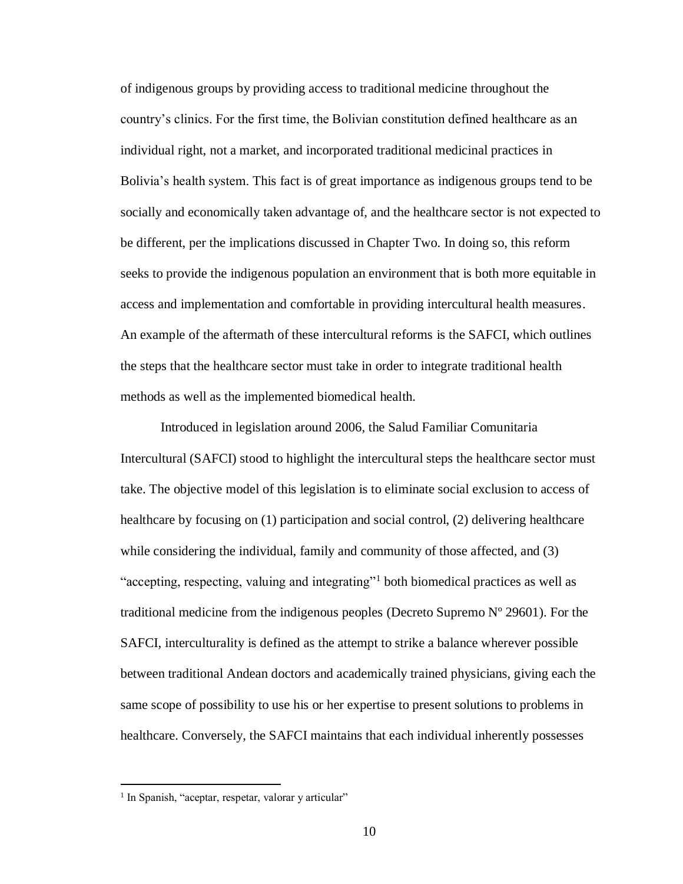of indigenous groups by providing access to traditional medicine throughout the country's clinics. For the first time, the Bolivian constitution defined healthcare as an individual right, not a market, and incorporated traditional medicinal practices in Bolivia's health system. This fact is of great importance as indigenous groups tend to be socially and economically taken advantage of, and the healthcare sector is not expected to be different, per the implications discussed in Chapter Two. In doing so, this reform seeks to provide the indigenous population an environment that is both more equitable in access and implementation and comfortable in providing intercultural health measures. An example of the aftermath of these intercultural reforms is the SAFCI, which outlines the steps that the healthcare sector must take in order to integrate traditional health methods as well as the implemented biomedical health.

Introduced in legislation around 2006, the Salud Familiar Comunitaria Intercultural (SAFCI) stood to highlight the intercultural steps the healthcare sector must take. The objective model of this legislation is to eliminate social exclusion to access of healthcare by focusing on (1) participation and social control, (2) delivering healthcare while considering the individual, family and community of those affected, and (3) "accepting, respecting, valuing and integrating"<sup>1</sup> both biomedical practices as well as traditional medicine from the indigenous peoples (Decreto Supremo Nº 29601). For the SAFCI, interculturality is defined as the attempt to strike a balance wherever possible between traditional Andean doctors and academically trained physicians, giving each the same scope of possibility to use his or her expertise to present solutions to problems in healthcare. Conversely, the SAFCI maintains that each individual inherently possesses

<sup>&</sup>lt;sup>1</sup> In Spanish, "aceptar, respetar, valorar y articular"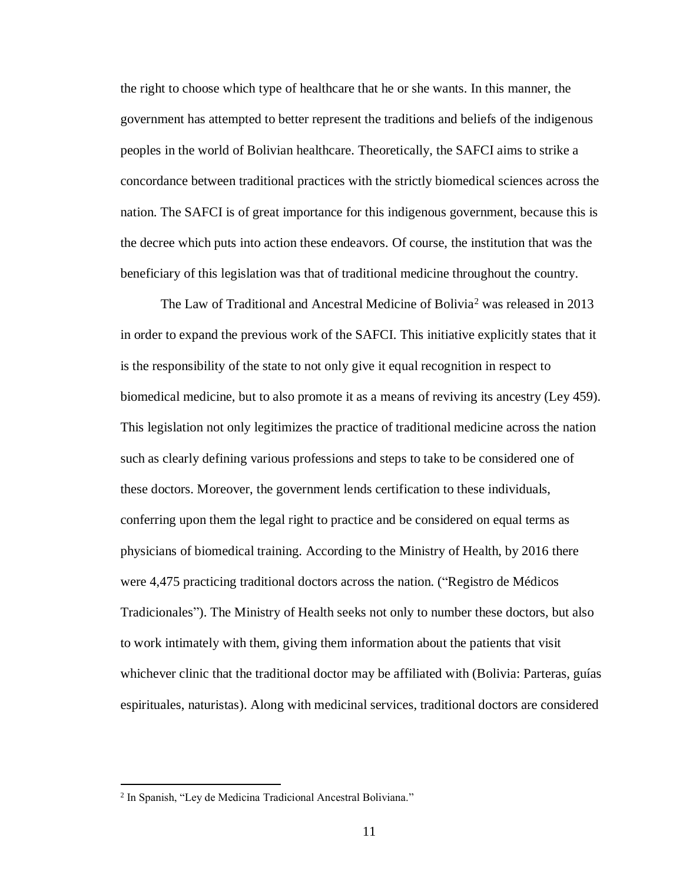the right to choose which type of healthcare that he or she wants. In this manner, the government has attempted to better represent the traditions and beliefs of the indigenous peoples in the world of Bolivian healthcare. Theoretically, the SAFCI aims to strike a concordance between traditional practices with the strictly biomedical sciences across the nation. The SAFCI is of great importance for this indigenous government, because this is the decree which puts into action these endeavors. Of course, the institution that was the beneficiary of this legislation was that of traditional medicine throughout the country.

The Law of Traditional and Ancestral Medicine of Bolivia<sup>2</sup> was released in 2013 in order to expand the previous work of the SAFCI. This initiative explicitly states that it is the responsibility of the state to not only give it equal recognition in respect to biomedical medicine, but to also promote it as a means of reviving its ancestry (Ley 459). This legislation not only legitimizes the practice of traditional medicine across the nation such as clearly defining various professions and steps to take to be considered one of these doctors. Moreover, the government lends certification to these individuals, conferring upon them the legal right to practice and be considered on equal terms as physicians of biomedical training. According to the Ministry of Health, by 2016 there were 4,475 practicing traditional doctors across the nation. ("Registro de Médicos Tradicionales"). The Ministry of Health seeks not only to number these doctors, but also to work intimately with them, giving them information about the patients that visit whichever clinic that the traditional doctor may be affiliated with (Bolivia: Parteras, guías espirituales, naturistas). Along with medicinal services, traditional doctors are considered

<sup>&</sup>lt;sup>2</sup> In Spanish, "Ley de Medicina Tradicional Ancestral Boliviana."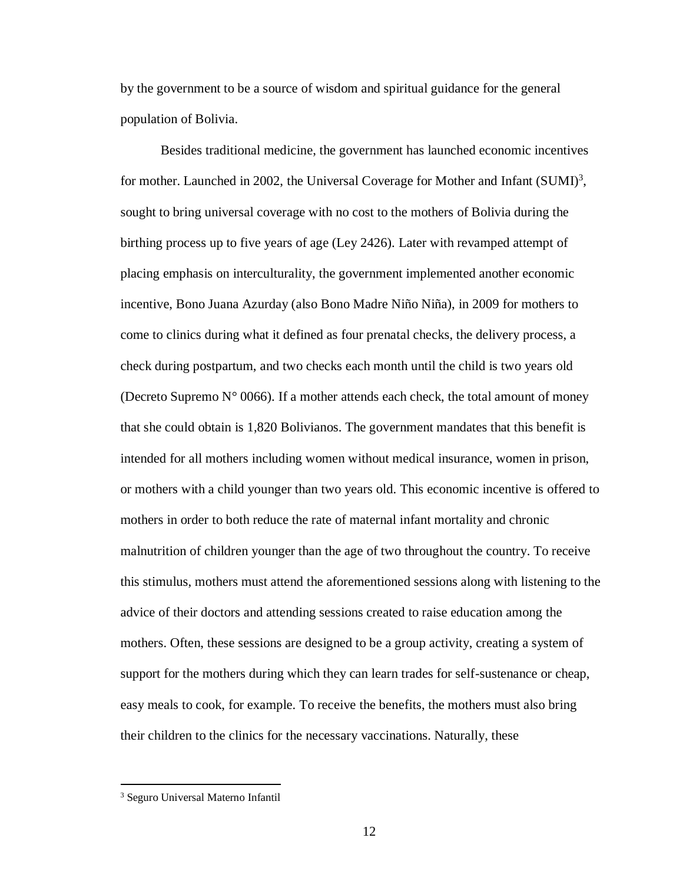by the government to be a source of wisdom and spiritual guidance for the general population of Bolivia.

Besides traditional medicine, the government has launched economic incentives for mother. Launched in 2002, the Universal Coverage for Mother and Infant (SUMI)<sup>3</sup>, sought to bring universal coverage with no cost to the mothers of Bolivia during the birthing process up to five years of age (Ley 2426). Later with revamped attempt of placing emphasis on interculturality, the government implemented another economic incentive, Bono Juana Azurday (also Bono Madre Niño Niña), in 2009 for mothers to come to clinics during what it defined as four prenatal checks, the delivery process, a check during postpartum, and two checks each month until the child is two years old (Decreto Supremo  $N^{\circ}$  0066). If a mother attends each check, the total amount of money that she could obtain is 1,820 Bolivianos. The government mandates that this benefit is intended for all mothers including women without medical insurance, women in prison, or mothers with a child younger than two years old. This economic incentive is offered to mothers in order to both reduce the rate of maternal infant mortality and chronic malnutrition of children younger than the age of two throughout the country. To receive this stimulus, mothers must attend the aforementioned sessions along with listening to the advice of their doctors and attending sessions created to raise education among the mothers. Often, these sessions are designed to be a group activity, creating a system of support for the mothers during which they can learn trades for self-sustenance or cheap, easy meals to cook, for example. To receive the benefits, the mothers must also bring their children to the clinics for the necessary vaccinations. Naturally, these

<sup>3</sup> Seguro Universal Materno Infantil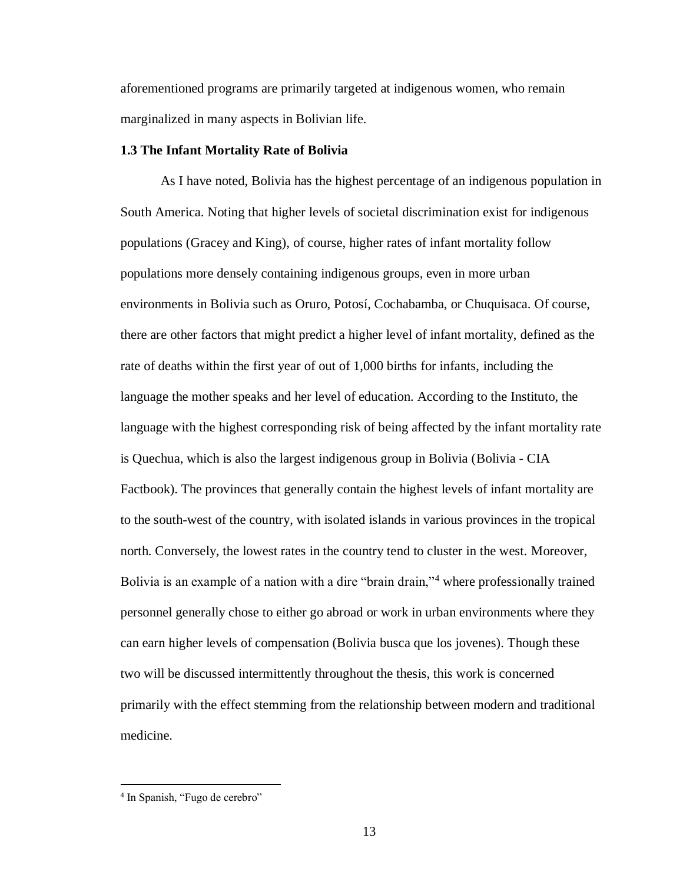aforementioned programs are primarily targeted at indigenous women, who remain marginalized in many aspects in Bolivian life.

#### **1.3 The Infant Mortality Rate of Bolivia**

As I have noted, Bolivia has the highest percentage of an indigenous population in South America. Noting that higher levels of societal discrimination exist for indigenous populations (Gracey and King), of course, higher rates of infant mortality follow populations more densely containing indigenous groups, even in more urban environments in Bolivia such as Oruro, Potosí, Cochabamba, or Chuquisaca. Of course, there are other factors that might predict a higher level of infant mortality, defined as the rate of deaths within the first year of out of 1,000 births for infants, including the language the mother speaks and her level of education. According to the Instituto, the language with the highest corresponding risk of being affected by the infant mortality rate is Quechua, which is also the largest indigenous group in Bolivia (Bolivia - CIA Factbook). The provinces that generally contain the highest levels of infant mortality are to the south-west of the country, with isolated islands in various provinces in the tropical north. Conversely, the lowest rates in the country tend to cluster in the west. Moreover, Bolivia is an example of a nation with a dire "brain drain,"<sup>4</sup> where professionally trained personnel generally chose to either go abroad or work in urban environments where they can earn higher levels of compensation (Bolivia busca que los jovenes). Though these two will be discussed intermittently throughout the thesis, this work is concerned primarily with the effect stemming from the relationship between modern and traditional medicine.

<sup>4</sup> In Spanish, "Fugo de cerebro"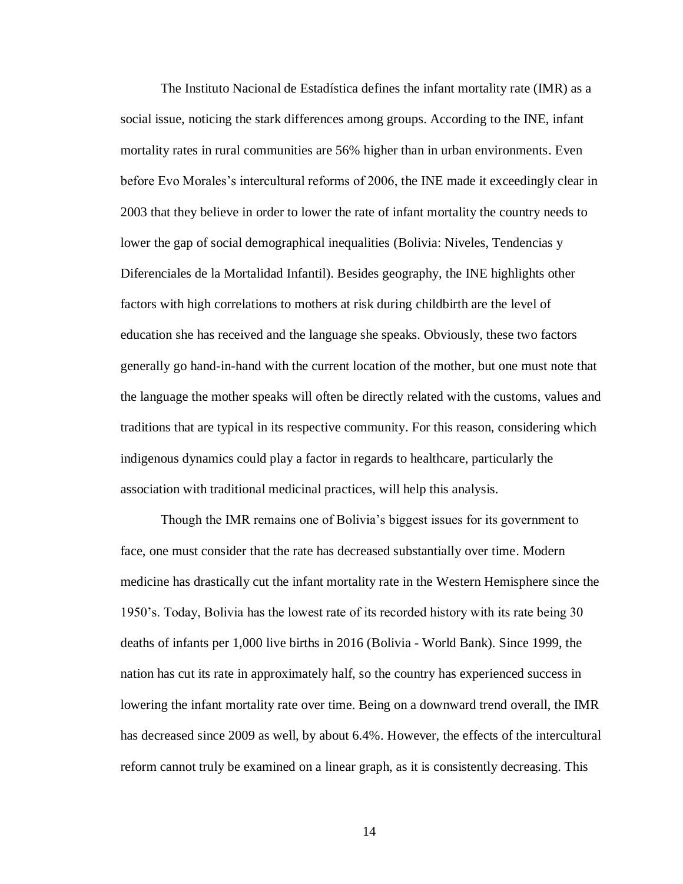The Instituto Nacional de Estadística defines the infant mortality rate (IMR) as a social issue, noticing the stark differences among groups. According to the INE, infant mortality rates in rural communities are 56% higher than in urban environments. Even before Evo Morales's intercultural reforms of 2006, the INE made it exceedingly clear in 2003 that they believe in order to lower the rate of infant mortality the country needs to lower the gap of social demographical inequalities (Bolivia: Niveles, Tendencias y Diferenciales de la Mortalidad Infantil). Besides geography, the INE highlights other factors with high correlations to mothers at risk during childbirth are the level of education she has received and the language she speaks. Obviously, these two factors generally go hand-in-hand with the current location of the mother, but one must note that the language the mother speaks will often be directly related with the customs, values and traditions that are typical in its respective community. For this reason, considering which indigenous dynamics could play a factor in regards to healthcare, particularly the association with traditional medicinal practices, will help this analysis.

Though the IMR remains one of Bolivia's biggest issues for its government to face, one must consider that the rate has decreased substantially over time. Modern medicine has drastically cut the infant mortality rate in the Western Hemisphere since the 1950's. Today, Bolivia has the lowest rate of its recorded history with its rate being 30 deaths of infants per 1,000 live births in 2016 (Bolivia - World Bank). Since 1999, the nation has cut its rate in approximately half, so the country has experienced success in lowering the infant mortality rate over time. Being on a downward trend overall, the IMR has decreased since 2009 as well, by about 6.4%. However, the effects of the intercultural reform cannot truly be examined on a linear graph, as it is consistently decreasing. This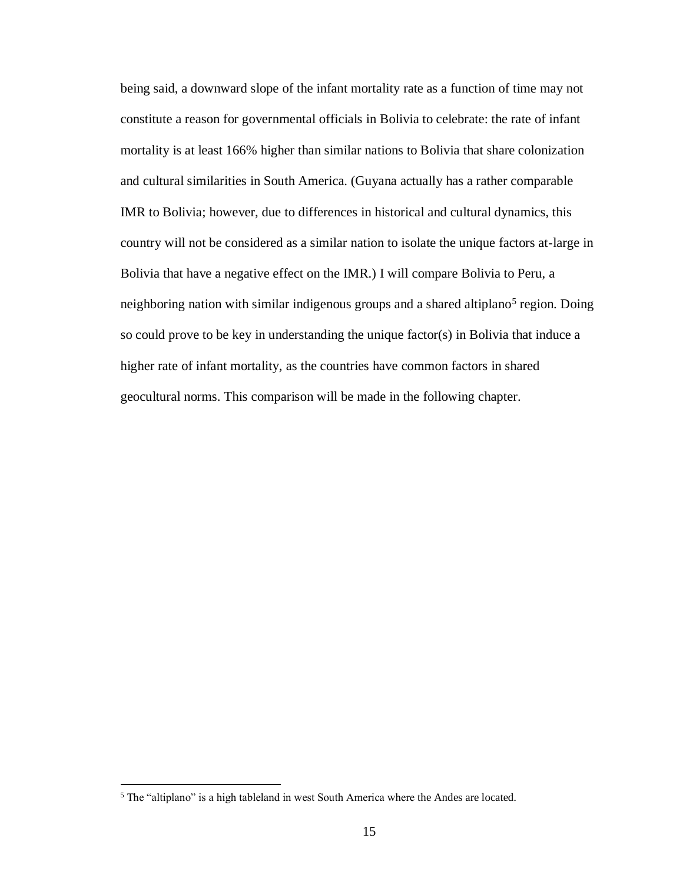being said, a downward slope of the infant mortality rate as a function of time may not constitute a reason for governmental officials in Bolivia to celebrate: the rate of infant mortality is at least 166% higher than similar nations to Bolivia that share colonization and cultural similarities in South America. (Guyana actually has a rather comparable IMR to Bolivia; however, due to differences in historical and cultural dynamics, this country will not be considered as a similar nation to isolate the unique factors at-large in Bolivia that have a negative effect on the IMR.) I will compare Bolivia to Peru, a neighboring nation with similar indigenous groups and a shared altiplano<sup>5</sup> region. Doing so could prove to be key in understanding the unique factor(s) in Bolivia that induce a higher rate of infant mortality, as the countries have common factors in shared geocultural norms. This comparison will be made in the following chapter.

<sup>5</sup> The "altiplano" is a high tableland in west South America where the Andes are located.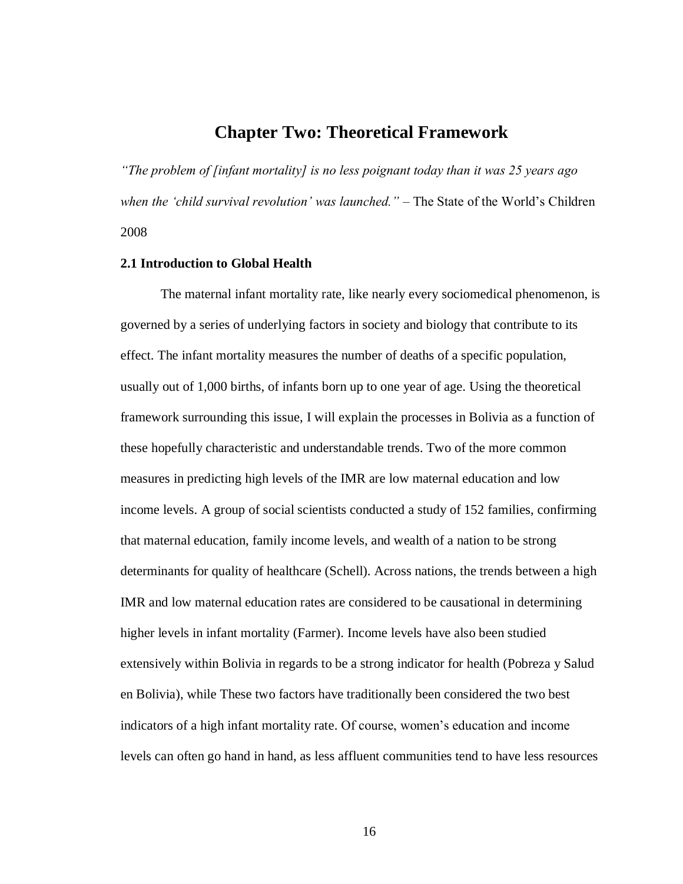## **Chapter Two: Theoretical Framework**

*"The problem of [infant mortality] is no less poignant today than it was 25 years ago when the 'child survival revolution' was launched." –* The State of the World's Children 2008

#### **2.1 Introduction to Global Health**

The maternal infant mortality rate, like nearly every sociomedical phenomenon, is governed by a series of underlying factors in society and biology that contribute to its effect. The infant mortality measures the number of deaths of a specific population, usually out of 1,000 births, of infants born up to one year of age. Using the theoretical framework surrounding this issue, I will explain the processes in Bolivia as a function of these hopefully characteristic and understandable trends. Two of the more common measures in predicting high levels of the IMR are low maternal education and low income levels. A group of social scientists conducted a study of 152 families, confirming that maternal education, family income levels, and wealth of a nation to be strong determinants for quality of healthcare (Schell). Across nations, the trends between a high IMR and low maternal education rates are considered to be causational in determining higher levels in infant mortality (Farmer). Income levels have also been studied extensively within Bolivia in regards to be a strong indicator for health (Pobreza y Salud en Bolivia), while These two factors have traditionally been considered the two best indicators of a high infant mortality rate. Of course, women's education and income levels can often go hand in hand, as less affluent communities tend to have less resources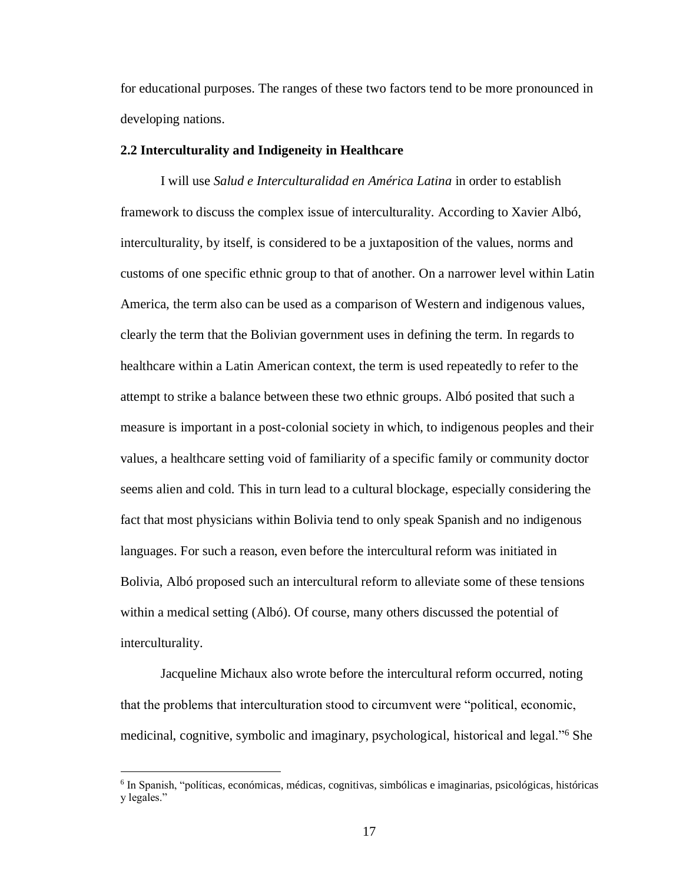for educational purposes. The ranges of these two factors tend to be more pronounced in developing nations.

#### **2.2 Interculturality and Indigeneity in Healthcare**

I will use *Salud e Interculturalidad en América Latina* in order to establish framework to discuss the complex issue of interculturality. According to Xavier Albó, interculturality, by itself, is considered to be a juxtaposition of the values, norms and customs of one specific ethnic group to that of another. On a narrower level within Latin America, the term also can be used as a comparison of Western and indigenous values, clearly the term that the Bolivian government uses in defining the term. In regards to healthcare within a Latin American context, the term is used repeatedly to refer to the attempt to strike a balance between these two ethnic groups. Albó posited that such a measure is important in a post-colonial society in which, to indigenous peoples and their values, a healthcare setting void of familiarity of a specific family or community doctor seems alien and cold. This in turn lead to a cultural blockage, especially considering the fact that most physicians within Bolivia tend to only speak Spanish and no indigenous languages. For such a reason, even before the intercultural reform was initiated in Bolivia, Albó proposed such an intercultural reform to alleviate some of these tensions within a medical setting (Albó). Of course, many others discussed the potential of interculturality.

Jacqueline Michaux also wrote before the intercultural reform occurred, noting that the problems that interculturation stood to circumvent were "political, economic, medicinal, cognitive, symbolic and imaginary, psychological, historical and legal."<sup>6</sup> She

<sup>6</sup> In Spanish, "políticas, económicas, médicas, cognitivas, simbólicas e imaginarias, psicológicas, históricas y legales."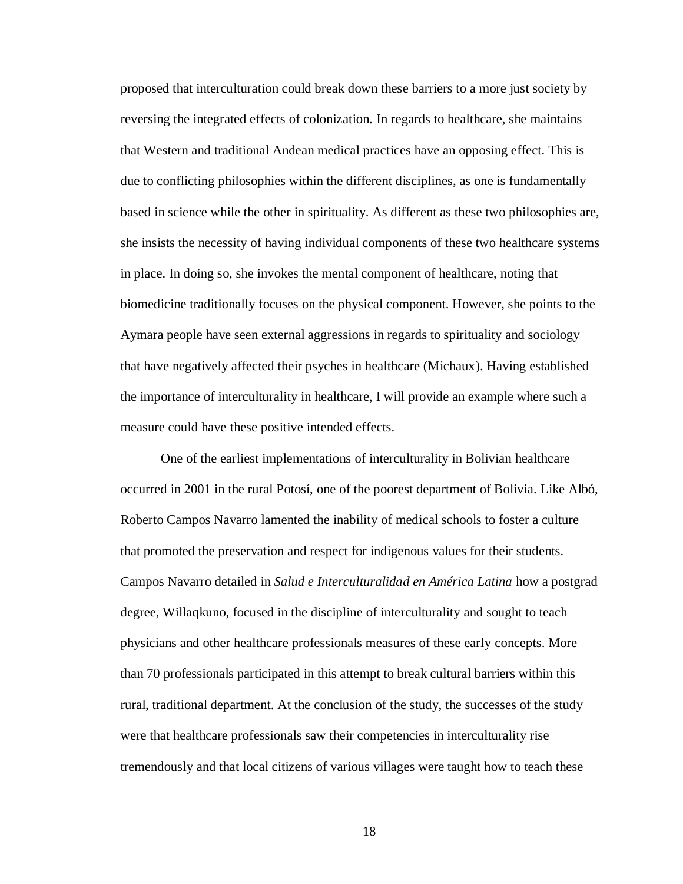proposed that interculturation could break down these barriers to a more just society by reversing the integrated effects of colonization. In regards to healthcare, she maintains that Western and traditional Andean medical practices have an opposing effect. This is due to conflicting philosophies within the different disciplines, as one is fundamentally based in science while the other in spirituality. As different as these two philosophies are, she insists the necessity of having individual components of these two healthcare systems in place. In doing so, she invokes the mental component of healthcare, noting that biomedicine traditionally focuses on the physical component. However, she points to the Aymara people have seen external aggressions in regards to spirituality and sociology that have negatively affected their psyches in healthcare (Michaux). Having established the importance of interculturality in healthcare, I will provide an example where such a measure could have these positive intended effects.

One of the earliest implementations of interculturality in Bolivian healthcare occurred in 2001 in the rural Potosí, one of the poorest department of Bolivia. Like Albó, Roberto Campos Navarro lamented the inability of medical schools to foster a culture that promoted the preservation and respect for indigenous values for their students. Campos Navarro detailed in *Salud e Interculturalidad en América Latina* how a postgrad degree, Willaqkuno, focused in the discipline of interculturality and sought to teach physicians and other healthcare professionals measures of these early concepts. More than 70 professionals participated in this attempt to break cultural barriers within this rural, traditional department. At the conclusion of the study, the successes of the study were that healthcare professionals saw their competencies in interculturality rise tremendously and that local citizens of various villages were taught how to teach these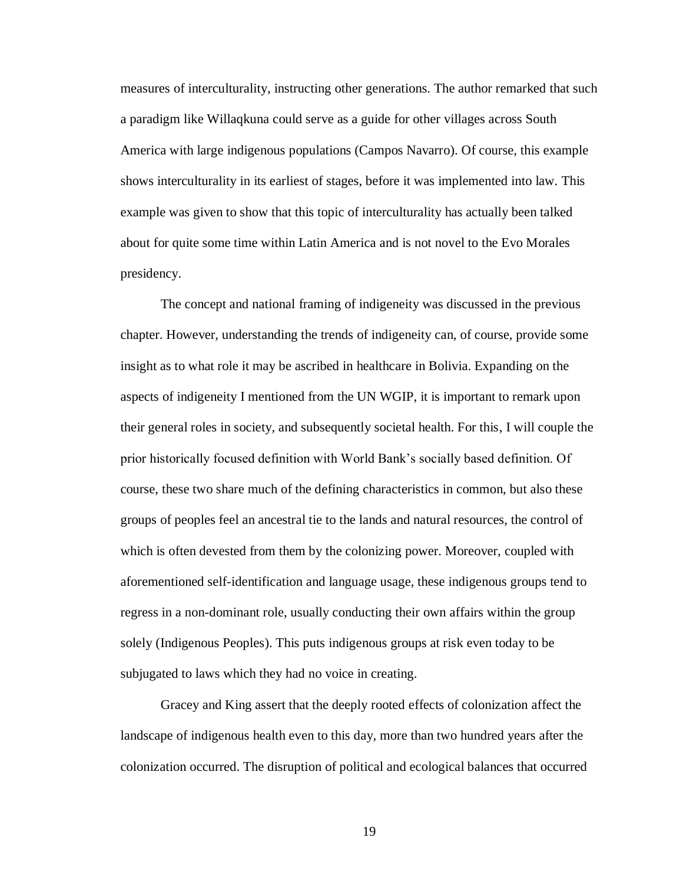measures of interculturality, instructing other generations. The author remarked that such a paradigm like Willaqkuna could serve as a guide for other villages across South America with large indigenous populations (Campos Navarro). Of course, this example shows interculturality in its earliest of stages, before it was implemented into law. This example was given to show that this topic of interculturality has actually been talked about for quite some time within Latin America and is not novel to the Evo Morales presidency.

The concept and national framing of indigeneity was discussed in the previous chapter. However, understanding the trends of indigeneity can, of course, provide some insight as to what role it may be ascribed in healthcare in Bolivia. Expanding on the aspects of indigeneity I mentioned from the UN WGIP, it is important to remark upon their general roles in society, and subsequently societal health. For this, I will couple the prior historically focused definition with World Bank's socially based definition. Of course, these two share much of the defining characteristics in common, but also these groups of peoples feel an ancestral tie to the lands and natural resources, the control of which is often devested from them by the colonizing power. Moreover, coupled with aforementioned self-identification and language usage, these indigenous groups tend to regress in a non-dominant role, usually conducting their own affairs within the group solely (Indigenous Peoples). This puts indigenous groups at risk even today to be subjugated to laws which they had no voice in creating.

Gracey and King assert that the deeply rooted effects of colonization affect the landscape of indigenous health even to this day, more than two hundred years after the colonization occurred. The disruption of political and ecological balances that occurred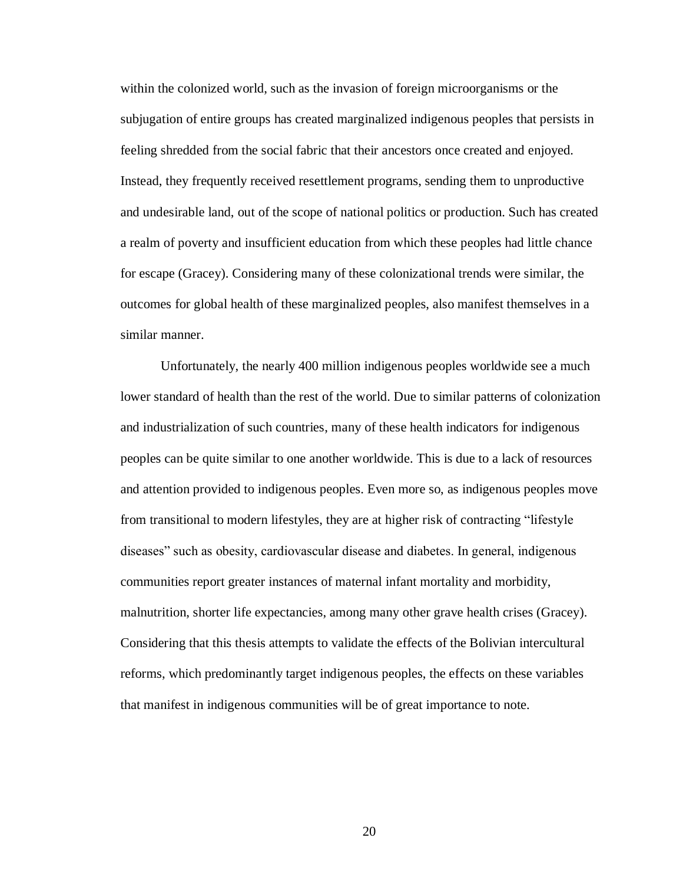within the colonized world, such as the invasion of foreign microorganisms or the subjugation of entire groups has created marginalized indigenous peoples that persists in feeling shredded from the social fabric that their ancestors once created and enjoyed. Instead, they frequently received resettlement programs, sending them to unproductive and undesirable land, out of the scope of national politics or production. Such has created a realm of poverty and insufficient education from which these peoples had little chance for escape (Gracey). Considering many of these colonizational trends were similar, the outcomes for global health of these marginalized peoples, also manifest themselves in a similar manner.

Unfortunately, the nearly 400 million indigenous peoples worldwide see a much lower standard of health than the rest of the world. Due to similar patterns of colonization and industrialization of such countries, many of these health indicators for indigenous peoples can be quite similar to one another worldwide. This is due to a lack of resources and attention provided to indigenous peoples. Even more so, as indigenous peoples move from transitional to modern lifestyles, they are at higher risk of contracting "lifestyle diseases" such as obesity, cardiovascular disease and diabetes. In general, indigenous communities report greater instances of maternal infant mortality and morbidity, malnutrition, shorter life expectancies, among many other grave health crises (Gracey). Considering that this thesis attempts to validate the effects of the Bolivian intercultural reforms, which predominantly target indigenous peoples, the effects on these variables that manifest in indigenous communities will be of great importance to note.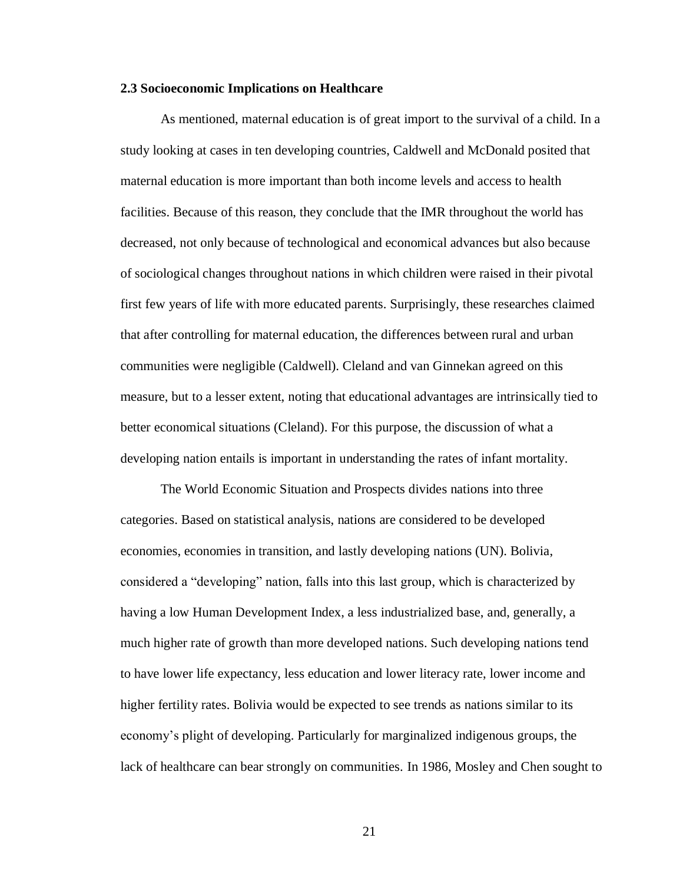#### **2.3 Socioeconomic Implications on Healthcare**

As mentioned, maternal education is of great import to the survival of a child. In a study looking at cases in ten developing countries, Caldwell and McDonald posited that maternal education is more important than both income levels and access to health facilities. Because of this reason, they conclude that the IMR throughout the world has decreased, not only because of technological and economical advances but also because of sociological changes throughout nations in which children were raised in their pivotal first few years of life with more educated parents. Surprisingly, these researches claimed that after controlling for maternal education, the differences between rural and urban communities were negligible (Caldwell). Cleland and van Ginnekan agreed on this measure, but to a lesser extent, noting that educational advantages are intrinsically tied to better economical situations (Cleland). For this purpose, the discussion of what a developing nation entails is important in understanding the rates of infant mortality.

The World Economic Situation and Prospects divides nations into three categories. Based on statistical analysis, nations are considered to be developed economies, economies in transition, and lastly developing nations (UN). Bolivia, considered a "developing" nation, falls into this last group, which is characterized by having a low Human Development Index, a less industrialized base, and, generally, a much higher rate of growth than more developed nations. Such developing nations tend to have lower life expectancy, less education and lower literacy rate, lower income and higher fertility rates. Bolivia would be expected to see trends as nations similar to its economy's plight of developing. Particularly for marginalized indigenous groups, the lack of healthcare can bear strongly on communities. In 1986, Mosley and Chen sought to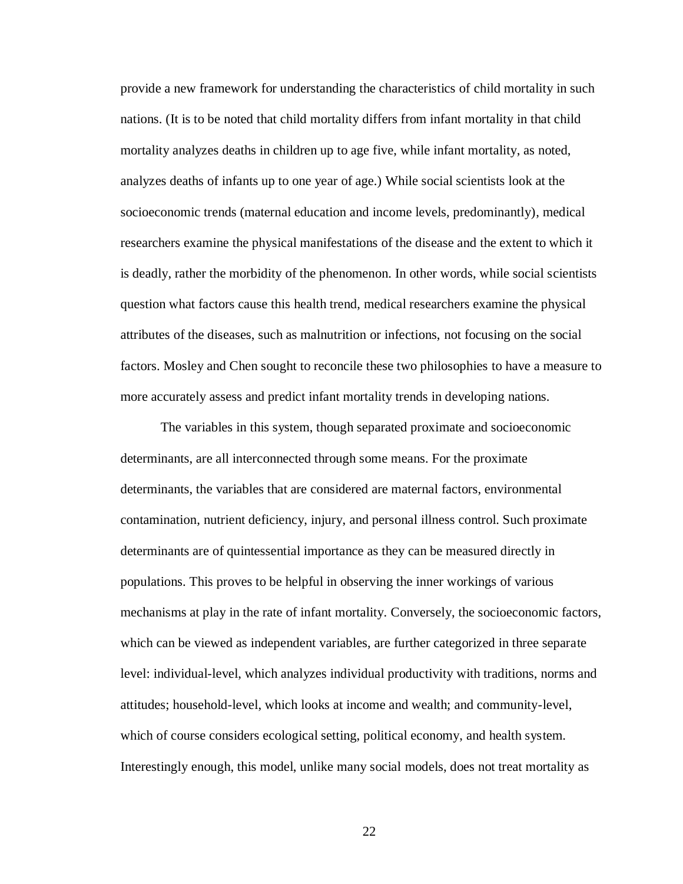provide a new framework for understanding the characteristics of child mortality in such nations. (It is to be noted that child mortality differs from infant mortality in that child mortality analyzes deaths in children up to age five, while infant mortality, as noted, analyzes deaths of infants up to one year of age.) While social scientists look at the socioeconomic trends (maternal education and income levels, predominantly), medical researchers examine the physical manifestations of the disease and the extent to which it is deadly, rather the morbidity of the phenomenon. In other words, while social scientists question what factors cause this health trend, medical researchers examine the physical attributes of the diseases, such as malnutrition or infections, not focusing on the social factors. Mosley and Chen sought to reconcile these two philosophies to have a measure to more accurately assess and predict infant mortality trends in developing nations.

The variables in this system, though separated proximate and socioeconomic determinants, are all interconnected through some means. For the proximate determinants, the variables that are considered are maternal factors, environmental contamination, nutrient deficiency, injury, and personal illness control. Such proximate determinants are of quintessential importance as they can be measured directly in populations. This proves to be helpful in observing the inner workings of various mechanisms at play in the rate of infant mortality. Conversely, the socioeconomic factors, which can be viewed as independent variables, are further categorized in three separate level: individual-level, which analyzes individual productivity with traditions, norms and attitudes; household-level, which looks at income and wealth; and community-level, which of course considers ecological setting, political economy, and health system. Interestingly enough, this model, unlike many social models, does not treat mortality as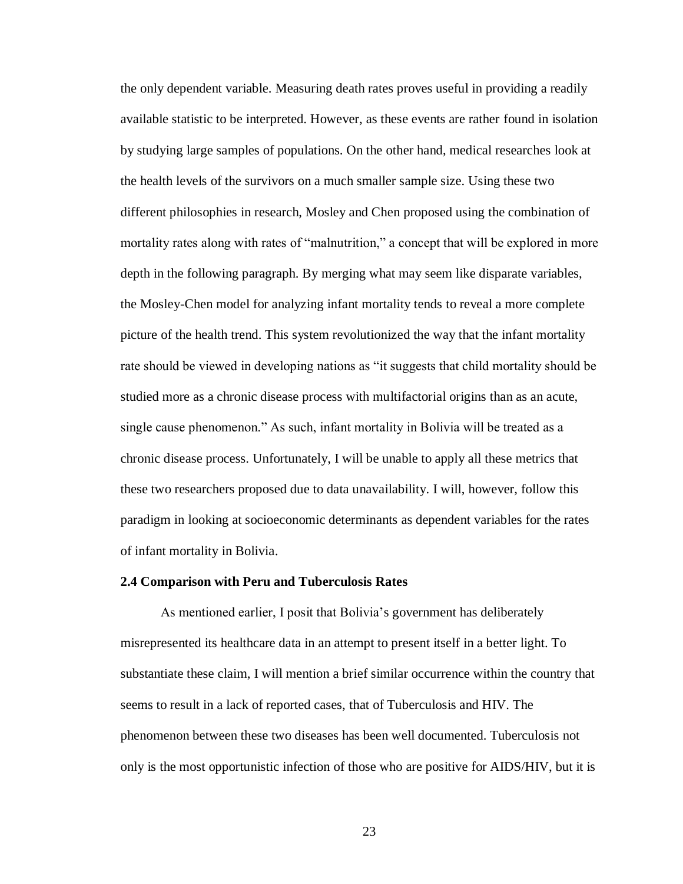the only dependent variable. Measuring death rates proves useful in providing a readily available statistic to be interpreted. However, as these events are rather found in isolation by studying large samples of populations. On the other hand, medical researches look at the health levels of the survivors on a much smaller sample size. Using these two different philosophies in research, Mosley and Chen proposed using the combination of mortality rates along with rates of "malnutrition," a concept that will be explored in more depth in the following paragraph. By merging what may seem like disparate variables, the Mosley-Chen model for analyzing infant mortality tends to reveal a more complete picture of the health trend. This system revolutionized the way that the infant mortality rate should be viewed in developing nations as "it suggests that child mortality should be studied more as a chronic disease process with multifactorial origins than as an acute, single cause phenomenon." As such, infant mortality in Bolivia will be treated as a chronic disease process. Unfortunately, I will be unable to apply all these metrics that these two researchers proposed due to data unavailability. I will, however, follow this paradigm in looking at socioeconomic determinants as dependent variables for the rates of infant mortality in Bolivia.

#### **2.4 Comparison with Peru and Tuberculosis Rates**

As mentioned earlier, I posit that Bolivia's government has deliberately misrepresented its healthcare data in an attempt to present itself in a better light. To substantiate these claim, I will mention a brief similar occurrence within the country that seems to result in a lack of reported cases, that of Tuberculosis and HIV. The phenomenon between these two diseases has been well documented. Tuberculosis not only is the most opportunistic infection of those who are positive for AIDS/HIV, but it is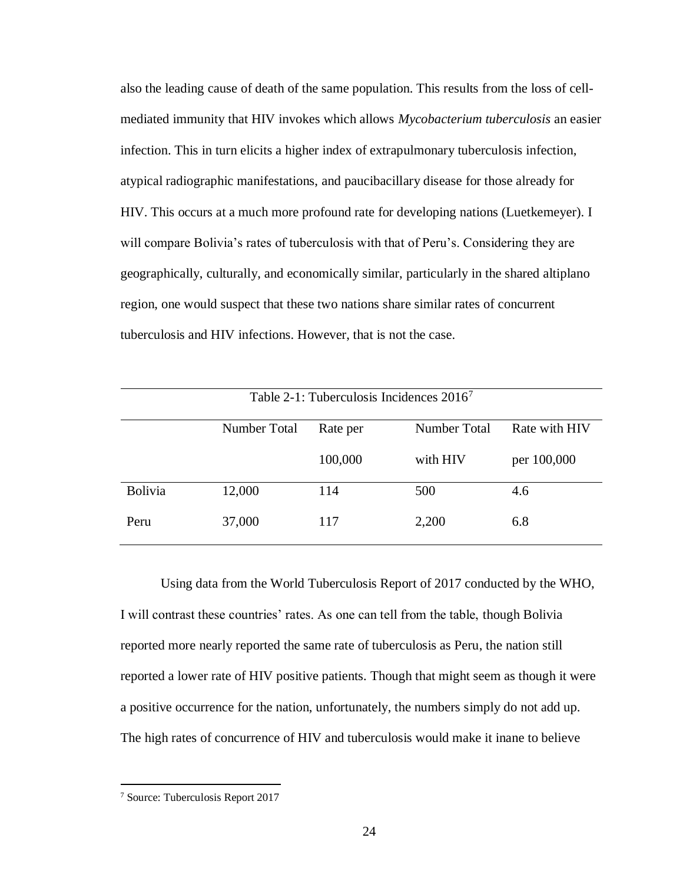also the leading cause of death of the same population. This results from the loss of cellmediated immunity that HIV invokes which allows *Mycobacterium tuberculosis* an easier infection. This in turn elicits a higher index of extrapulmonary tuberculosis infection, atypical radiographic manifestations, and paucibacillary disease for those already for HIV. This occurs at a much more profound rate for developing nations (Luetkemeyer). I will compare Bolivia's rates of tuberculosis with that of Peru's. Considering they are geographically, culturally, and economically similar, particularly in the shared altiplano region, one would suspect that these two nations share similar rates of concurrent tuberculosis and HIV infections. However, that is not the case.

| Table 2-1: Tuberculosis Incidences $20167$ |              |          |              |               |  |  |
|--------------------------------------------|--------------|----------|--------------|---------------|--|--|
|                                            | Number Total | Rate per | Number Total | Rate with HIV |  |  |
|                                            |              | 100,000  | with HIV     | per 100,000   |  |  |
| Bolivia                                    | 12,000       | 114      | 500          | 4.6           |  |  |
| Peru                                       | 37,000       | 117      | 2,200        | 6.8           |  |  |

Using data from the World Tuberculosis Report of 2017 conducted by the WHO, I will contrast these countries' rates. As one can tell from the table, though Bolivia reported more nearly reported the same rate of tuberculosis as Peru, the nation still reported a lower rate of HIV positive patients. Though that might seem as though it were a positive occurrence for the nation, unfortunately, the numbers simply do not add up. The high rates of concurrence of HIV and tuberculosis would make it inane to believe

<sup>7</sup> Source: Tuberculosis Report 2017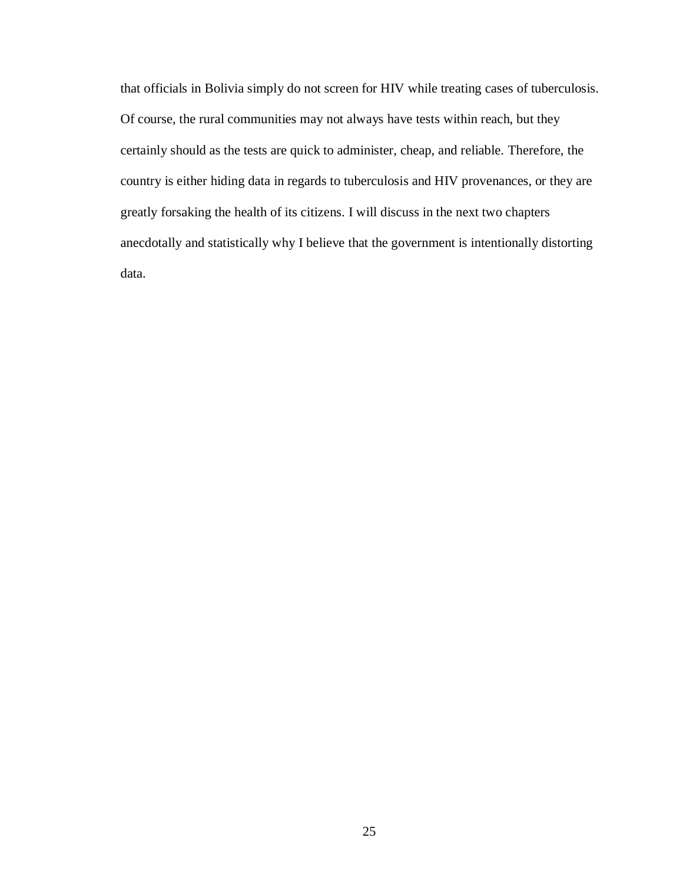that officials in Bolivia simply do not screen for HIV while treating cases of tuberculosis. Of course, the rural communities may not always have tests within reach, but they certainly should as the tests are quick to administer, cheap, and reliable. Therefore, the country is either hiding data in regards to tuberculosis and HIV provenances, or they are greatly forsaking the health of its citizens. I will discuss in the next two chapters anecdotally and statistically why I believe that the government is intentionally distorting data.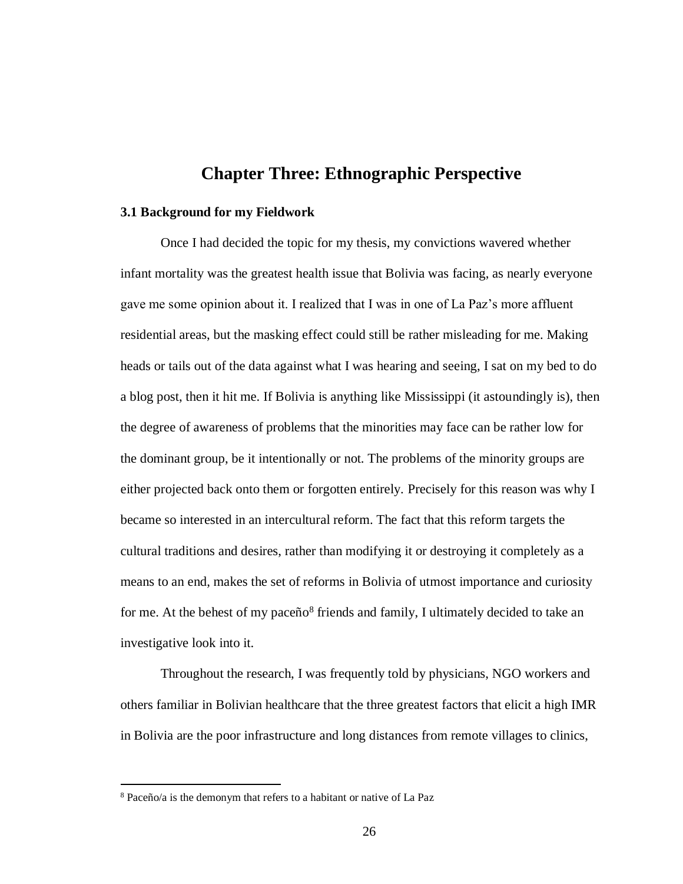## **Chapter Three: Ethnographic Perspective**

#### **3.1 Background for my Fieldwork**

Once I had decided the topic for my thesis, my convictions wavered whether infant mortality was the greatest health issue that Bolivia was facing, as nearly everyone gave me some opinion about it. I realized that I was in one of La Paz's more affluent residential areas, but the masking effect could still be rather misleading for me. Making heads or tails out of the data against what I was hearing and seeing, I sat on my bed to do a blog post, then it hit me. If Bolivia is anything like Mississippi (it astoundingly is), then the degree of awareness of problems that the minorities may face can be rather low for the dominant group, be it intentionally or not. The problems of the minority groups are either projected back onto them or forgotten entirely. Precisely for this reason was why I became so interested in an intercultural reform. The fact that this reform targets the cultural traditions and desires, rather than modifying it or destroying it completely as a means to an end, makes the set of reforms in Bolivia of utmost importance and curiosity for me. At the behest of my paceño<sup>8</sup> friends and family, I ultimately decided to take an investigative look into it.

Throughout the research, I was frequently told by physicians, NGO workers and others familiar in Bolivian healthcare that the three greatest factors that elicit a high IMR in Bolivia are the poor infrastructure and long distances from remote villages to clinics,

<sup>8</sup> Paceño/a is the demonym that refers to a habitant or native of La Paz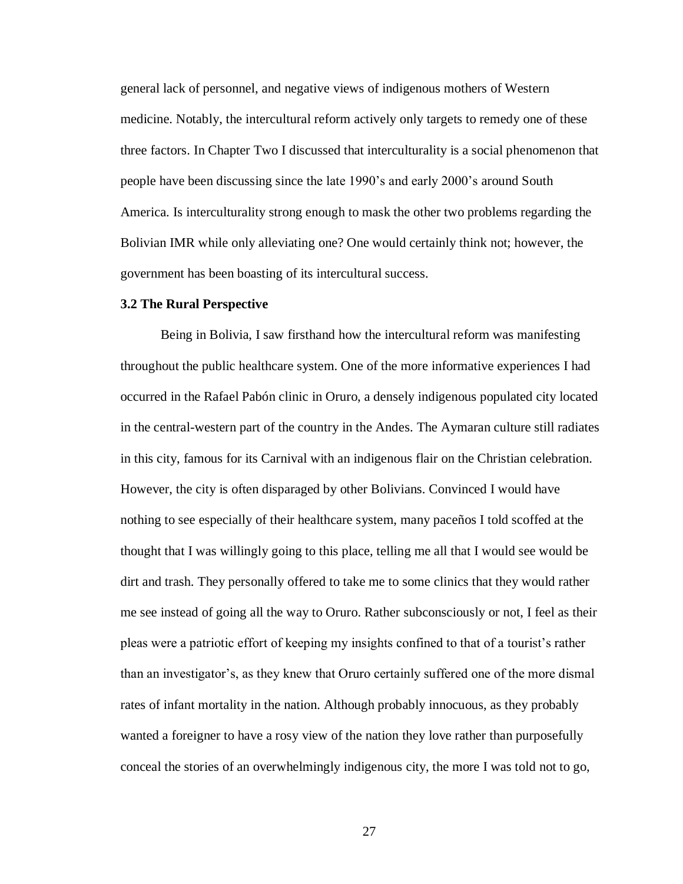general lack of personnel, and negative views of indigenous mothers of Western medicine. Notably, the intercultural reform actively only targets to remedy one of these three factors. In Chapter Two I discussed that interculturality is a social phenomenon that people have been discussing since the late 1990's and early 2000's around South America. Is interculturality strong enough to mask the other two problems regarding the Bolivian IMR while only alleviating one? One would certainly think not; however, the government has been boasting of its intercultural success.

#### **3.2 The Rural Perspective**

Being in Bolivia, I saw firsthand how the intercultural reform was manifesting throughout the public healthcare system. One of the more informative experiences I had occurred in the Rafael Pabón clinic in Oruro, a densely indigenous populated city located in the central-western part of the country in the Andes. The Aymaran culture still radiates in this city, famous for its Carnival with an indigenous flair on the Christian celebration. However, the city is often disparaged by other Bolivians. Convinced I would have nothing to see especially of their healthcare system, many paceños I told scoffed at the thought that I was willingly going to this place, telling me all that I would see would be dirt and trash. They personally offered to take me to some clinics that they would rather me see instead of going all the way to Oruro. Rather subconsciously or not, I feel as their pleas were a patriotic effort of keeping my insights confined to that of a tourist's rather than an investigator's, as they knew that Oruro certainly suffered one of the more dismal rates of infant mortality in the nation. Although probably innocuous, as they probably wanted a foreigner to have a rosy view of the nation they love rather than purposefully conceal the stories of an overwhelmingly indigenous city, the more I was told not to go,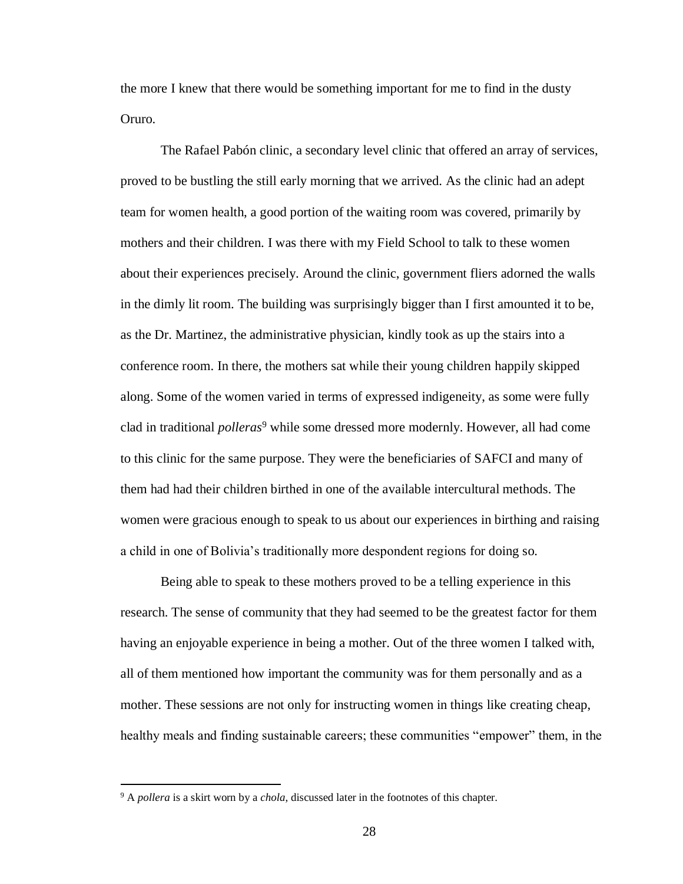the more I knew that there would be something important for me to find in the dusty Oruro.

The Rafael Pabón clinic, a secondary level clinic that offered an array of services, proved to be bustling the still early morning that we arrived. As the clinic had an adept team for women health, a good portion of the waiting room was covered, primarily by mothers and their children. I was there with my Field School to talk to these women about their experiences precisely. Around the clinic, government fliers adorned the walls in the dimly lit room. The building was surprisingly bigger than I first amounted it to be, as the Dr. Martinez, the administrative physician, kindly took as up the stairs into a conference room. In there, the mothers sat while their young children happily skipped along. Some of the women varied in terms of expressed indigeneity, as some were fully clad in traditional *polleras*<sup>9</sup> while some dressed more modernly. However, all had come to this clinic for the same purpose. They were the beneficiaries of SAFCI and many of them had had their children birthed in one of the available intercultural methods. The women were gracious enough to speak to us about our experiences in birthing and raising a child in one of Bolivia's traditionally more despondent regions for doing so.

Being able to speak to these mothers proved to be a telling experience in this research. The sense of community that they had seemed to be the greatest factor for them having an enjoyable experience in being a mother. Out of the three women I talked with, all of them mentioned how important the community was for them personally and as a mother. These sessions are not only for instructing women in things like creating cheap, healthy meals and finding sustainable careers; these communities "empower" them, in the

<sup>9</sup> A *pollera* is a skirt worn by a *chola*, discussed later in the footnotes of this chapter.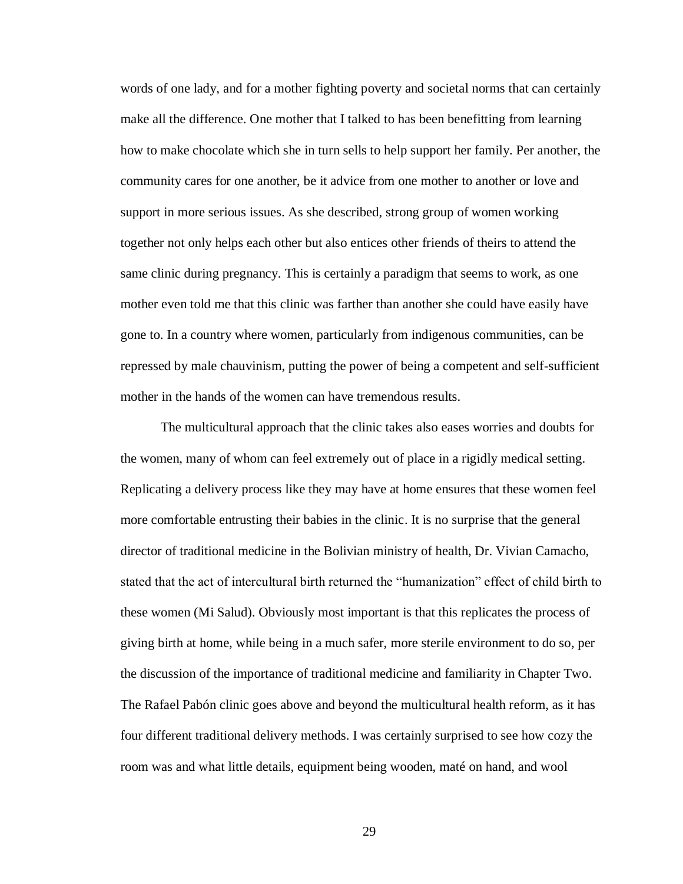words of one lady, and for a mother fighting poverty and societal norms that can certainly make all the difference. One mother that I talked to has been benefitting from learning how to make chocolate which she in turn sells to help support her family. Per another, the community cares for one another, be it advice from one mother to another or love and support in more serious issues. As she described, strong group of women working together not only helps each other but also entices other friends of theirs to attend the same clinic during pregnancy. This is certainly a paradigm that seems to work, as one mother even told me that this clinic was farther than another she could have easily have gone to. In a country where women, particularly from indigenous communities, can be repressed by male chauvinism, putting the power of being a competent and self-sufficient mother in the hands of the women can have tremendous results.

The multicultural approach that the clinic takes also eases worries and doubts for the women, many of whom can feel extremely out of place in a rigidly medical setting. Replicating a delivery process like they may have at home ensures that these women feel more comfortable entrusting their babies in the clinic. It is no surprise that the general director of traditional medicine in the Bolivian ministry of health, Dr. Vivian Camacho, stated that the act of intercultural birth returned the "humanization" effect of child birth to these women (Mi Salud). Obviously most important is that this replicates the process of giving birth at home, while being in a much safer, more sterile environment to do so, per the discussion of the importance of traditional medicine and familiarity in Chapter Two. The Rafael Pabón clinic goes above and beyond the multicultural health reform, as it has four different traditional delivery methods. I was certainly surprised to see how cozy the room was and what little details, equipment being wooden, maté on hand, and wool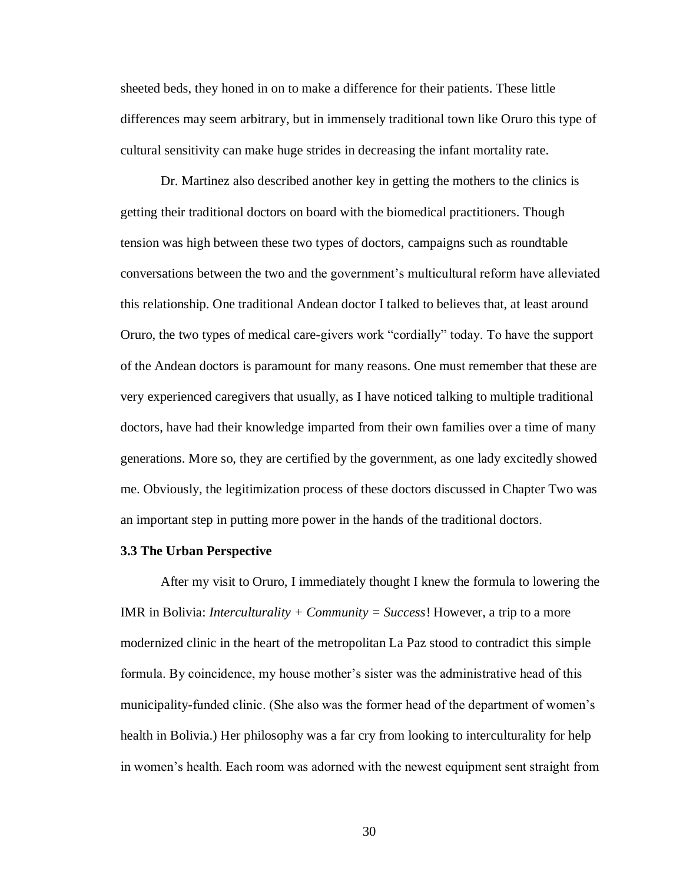sheeted beds, they honed in on to make a difference for their patients. These little differences may seem arbitrary, but in immensely traditional town like Oruro this type of cultural sensitivity can make huge strides in decreasing the infant mortality rate.

Dr. Martinez also described another key in getting the mothers to the clinics is getting their traditional doctors on board with the biomedical practitioners. Though tension was high between these two types of doctors, campaigns such as roundtable conversations between the two and the government's multicultural reform have alleviated this relationship. One traditional Andean doctor I talked to believes that, at least around Oruro, the two types of medical care-givers work "cordially" today. To have the support of the Andean doctors is paramount for many reasons. One must remember that these are very experienced caregivers that usually, as I have noticed talking to multiple traditional doctors, have had their knowledge imparted from their own families over a time of many generations. More so, they are certified by the government, as one lady excitedly showed me. Obviously, the legitimization process of these doctors discussed in Chapter Two was an important step in putting more power in the hands of the traditional doctors.

#### **3.3 The Urban Perspective**

After my visit to Oruro, I immediately thought I knew the formula to lowering the IMR in Bolivia: *Interculturality + Community = Success*! However, a trip to a more modernized clinic in the heart of the metropolitan La Paz stood to contradict this simple formula. By coincidence, my house mother's sister was the administrative head of this municipality-funded clinic. (She also was the former head of the department of women's health in Bolivia.) Her philosophy was a far cry from looking to interculturality for help in women's health. Each room was adorned with the newest equipment sent straight from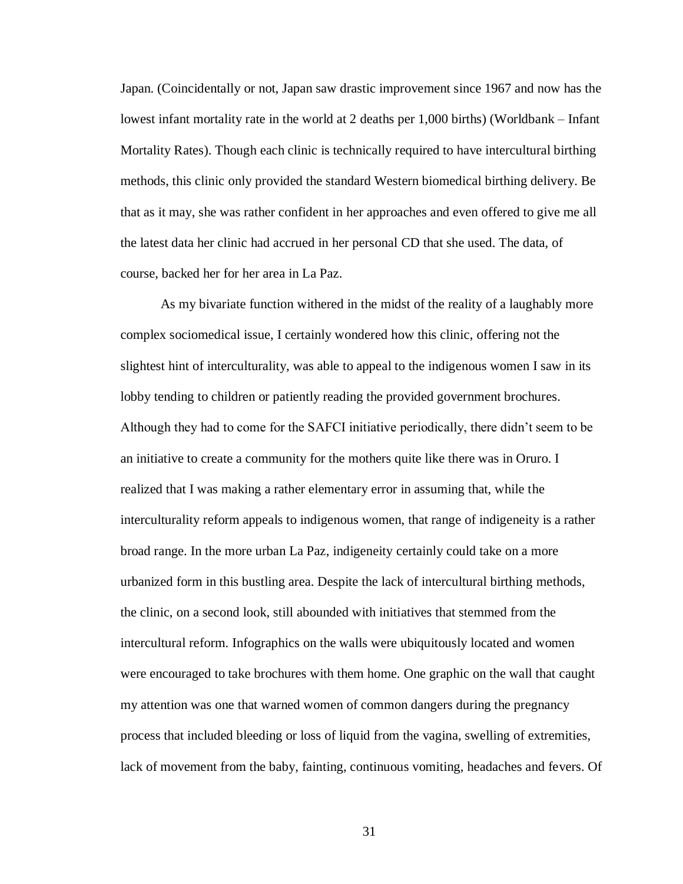Japan. (Coincidentally or not, Japan saw drastic improvement since 1967 and now has the lowest infant mortality rate in the world at 2 deaths per 1,000 births) (Worldbank – Infant Mortality Rates). Though each clinic is technically required to have intercultural birthing methods, this clinic only provided the standard Western biomedical birthing delivery. Be that as it may, she was rather confident in her approaches and even offered to give me all the latest data her clinic had accrued in her personal CD that she used. The data, of course, backed her for her area in La Paz.

As my bivariate function withered in the midst of the reality of a laughably more complex sociomedical issue, I certainly wondered how this clinic, offering not the slightest hint of interculturality, was able to appeal to the indigenous women I saw in its lobby tending to children or patiently reading the provided government brochures. Although they had to come for the SAFCI initiative periodically, there didn't seem to be an initiative to create a community for the mothers quite like there was in Oruro. I realized that I was making a rather elementary error in assuming that, while the interculturality reform appeals to indigenous women, that range of indigeneity is a rather broad range. In the more urban La Paz, indigeneity certainly could take on a more urbanized form in this bustling area. Despite the lack of intercultural birthing methods, the clinic, on a second look, still abounded with initiatives that stemmed from the intercultural reform. Infographics on the walls were ubiquitously located and women were encouraged to take brochures with them home. One graphic on the wall that caught my attention was one that warned women of common dangers during the pregnancy process that included bleeding or loss of liquid from the vagina, swelling of extremities, lack of movement from the baby, fainting, continuous vomiting, headaches and fevers. Of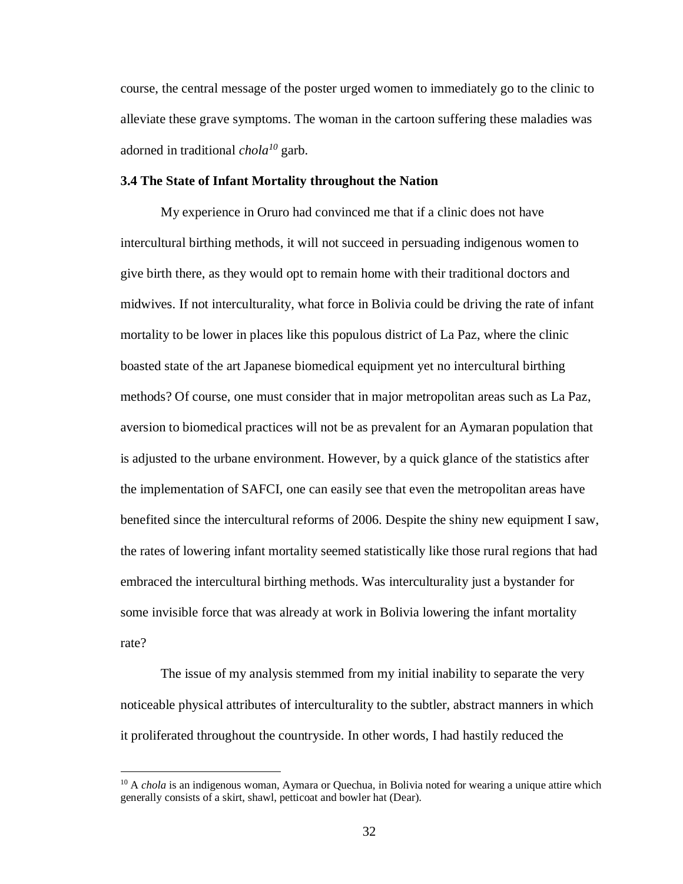course, the central message of the poster urged women to immediately go to the clinic to alleviate these grave symptoms. The woman in the cartoon suffering these maladies was adorned in traditional *chola <sup>10</sup>* garb.

#### **3.4 The State of Infant Mortality throughout the Nation**

My experience in Oruro had convinced me that if a clinic does not have intercultural birthing methods, it will not succeed in persuading indigenous women to give birth there, as they would opt to remain home with their traditional doctors and midwives. If not interculturality, what force in Bolivia could be driving the rate of infant mortality to be lower in places like this populous district of La Paz, where the clinic boasted state of the art Japanese biomedical equipment yet no intercultural birthing methods? Of course, one must consider that in major metropolitan areas such as La Paz, aversion to biomedical practices will not be as prevalent for an Aymaran population that is adjusted to the urbane environment. However, by a quick glance of the statistics after the implementation of SAFCI, one can easily see that even the metropolitan areas have benefited since the intercultural reforms of 2006. Despite the shiny new equipment I saw, the rates of lowering infant mortality seemed statistically like those rural regions that had embraced the intercultural birthing methods. Was interculturality just a bystander for some invisible force that was already at work in Bolivia lowering the infant mortality rate?

The issue of my analysis stemmed from my initial inability to separate the very noticeable physical attributes of interculturality to the subtler, abstract manners in which it proliferated throughout the countryside. In other words, I had hastily reduced the

<sup>&</sup>lt;sup>10</sup> A *chola* is an indigenous woman, Aymara or Quechua, in Bolivia noted for wearing a unique attire which generally consists of a skirt, shawl, petticoat and bowler hat (Dear).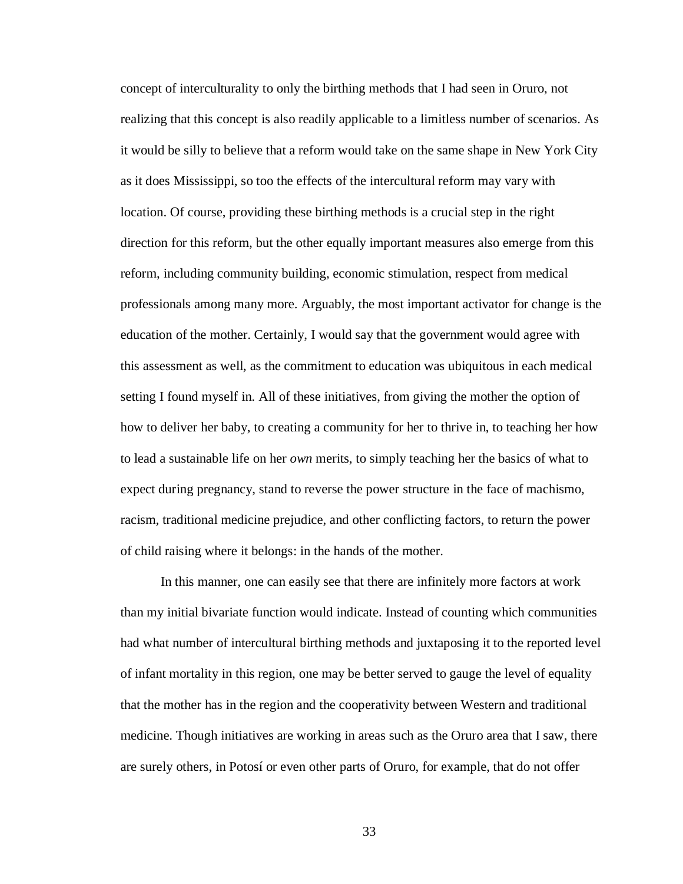concept of interculturality to only the birthing methods that I had seen in Oruro, not realizing that this concept is also readily applicable to a limitless number of scenarios. As it would be silly to believe that a reform would take on the same shape in New York City as it does Mississippi, so too the effects of the intercultural reform may vary with location. Of course, providing these birthing methods is a crucial step in the right direction for this reform, but the other equally important measures also emerge from this reform, including community building, economic stimulation, respect from medical professionals among many more. Arguably, the most important activator for change is the education of the mother. Certainly, I would say that the government would agree with this assessment as well, as the commitment to education was ubiquitous in each medical setting I found myself in. All of these initiatives, from giving the mother the option of how to deliver her baby, to creating a community for her to thrive in, to teaching her how to lead a sustainable life on her *own* merits, to simply teaching her the basics of what to expect during pregnancy, stand to reverse the power structure in the face of machismo, racism, traditional medicine prejudice, and other conflicting factors, to return the power of child raising where it belongs: in the hands of the mother.

In this manner, one can easily see that there are infinitely more factors at work than my initial bivariate function would indicate. Instead of counting which communities had what number of intercultural birthing methods and juxtaposing it to the reported level of infant mortality in this region, one may be better served to gauge the level of equality that the mother has in the region and the cooperativity between Western and traditional medicine. Though initiatives are working in areas such as the Oruro area that I saw, there are surely others, in Potosí or even other parts of Oruro, for example, that do not offer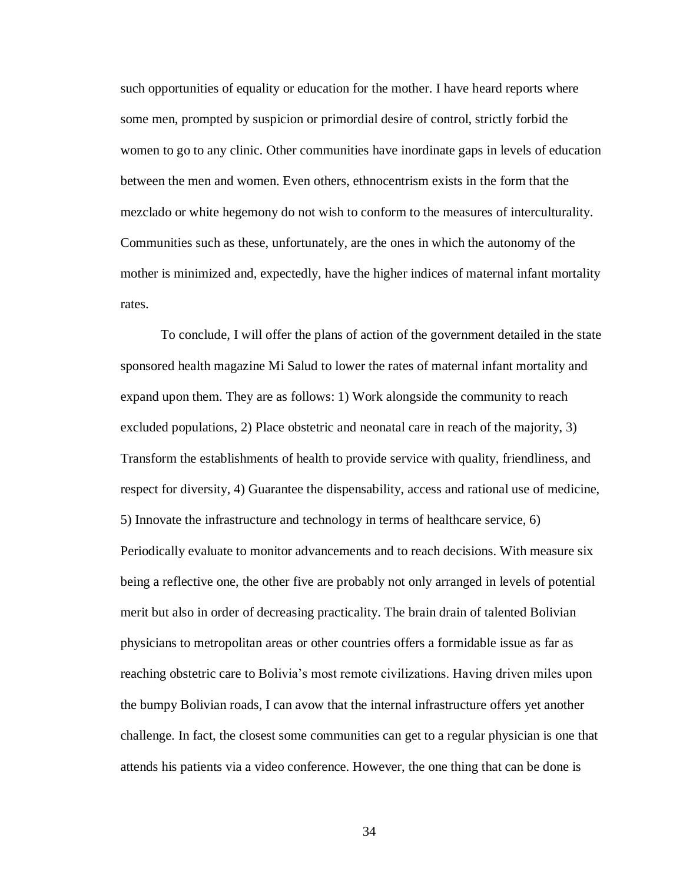such opportunities of equality or education for the mother. I have heard reports where some men, prompted by suspicion or primordial desire of control, strictly forbid the women to go to any clinic. Other communities have inordinate gaps in levels of education between the men and women. Even others, ethnocentrism exists in the form that the mezclado or white hegemony do not wish to conform to the measures of interculturality. Communities such as these, unfortunately, are the ones in which the autonomy of the mother is minimized and, expectedly, have the higher indices of maternal infant mortality rates.

To conclude, I will offer the plans of action of the government detailed in the state sponsored health magazine Mi Salud to lower the rates of maternal infant mortality and expand upon them. They are as follows: 1) Work alongside the community to reach excluded populations, 2) Place obstetric and neonatal care in reach of the majority, 3) Transform the establishments of health to provide service with quality, friendliness, and respect for diversity, 4) Guarantee the dispensability, access and rational use of medicine, 5) Innovate the infrastructure and technology in terms of healthcare service, 6) Periodically evaluate to monitor advancements and to reach decisions. With measure six being a reflective one, the other five are probably not only arranged in levels of potential merit but also in order of decreasing practicality. The brain drain of talented Bolivian physicians to metropolitan areas or other countries offers a formidable issue as far as reaching obstetric care to Bolivia's most remote civilizations. Having driven miles upon the bumpy Bolivian roads, I can avow that the internal infrastructure offers yet another challenge. In fact, the closest some communities can get to a regular physician is one that attends his patients via a video conference. However, the one thing that can be done is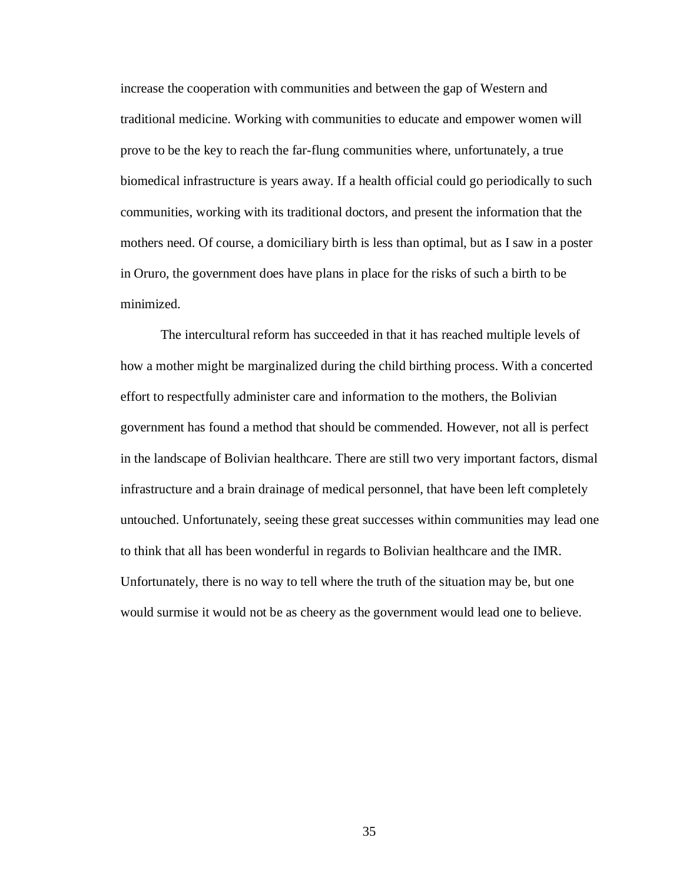increase the cooperation with communities and between the gap of Western and traditional medicine. Working with communities to educate and empower women will prove to be the key to reach the far-flung communities where, unfortunately, a true biomedical infrastructure is years away. If a health official could go periodically to such communities, working with its traditional doctors, and present the information that the mothers need. Of course, a domiciliary birth is less than optimal, but as I saw in a poster in Oruro, the government does have plans in place for the risks of such a birth to be minimized.

The intercultural reform has succeeded in that it has reached multiple levels of how a mother might be marginalized during the child birthing process. With a concerted effort to respectfully administer care and information to the mothers, the Bolivian government has found a method that should be commended. However, not all is perfect in the landscape of Bolivian healthcare. There are still two very important factors, dismal infrastructure and a brain drainage of medical personnel, that have been left completely untouched. Unfortunately, seeing these great successes within communities may lead one to think that all has been wonderful in regards to Bolivian healthcare and the IMR. Unfortunately, there is no way to tell where the truth of the situation may be, but one would surmise it would not be as cheery as the government would lead one to believe.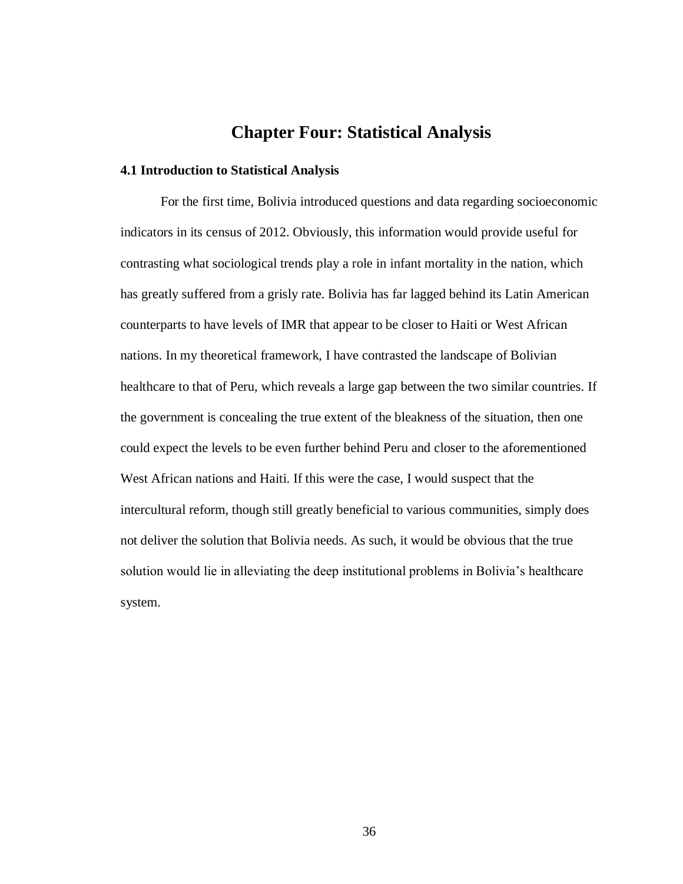## **Chapter Four: Statistical Analysis**

#### **4.1 Introduction to Statistical Analysis**

For the first time, Bolivia introduced questions and data regarding socioeconomic indicators in its census of 2012. Obviously, this information would provide useful for contrasting what sociological trends play a role in infant mortality in the nation, which has greatly suffered from a grisly rate. Bolivia has far lagged behind its Latin American counterparts to have levels of IMR that appear to be closer to Haiti or West African nations. In my theoretical framework, I have contrasted the landscape of Bolivian healthcare to that of Peru, which reveals a large gap between the two similar countries. If the government is concealing the true extent of the bleakness of the situation, then one could expect the levels to be even further behind Peru and closer to the aforementioned West African nations and Haiti. If this were the case, I would suspect that the intercultural reform, though still greatly beneficial to various communities, simply does not deliver the solution that Bolivia needs. As such, it would be obvious that the true solution would lie in alleviating the deep institutional problems in Bolivia's healthcare system.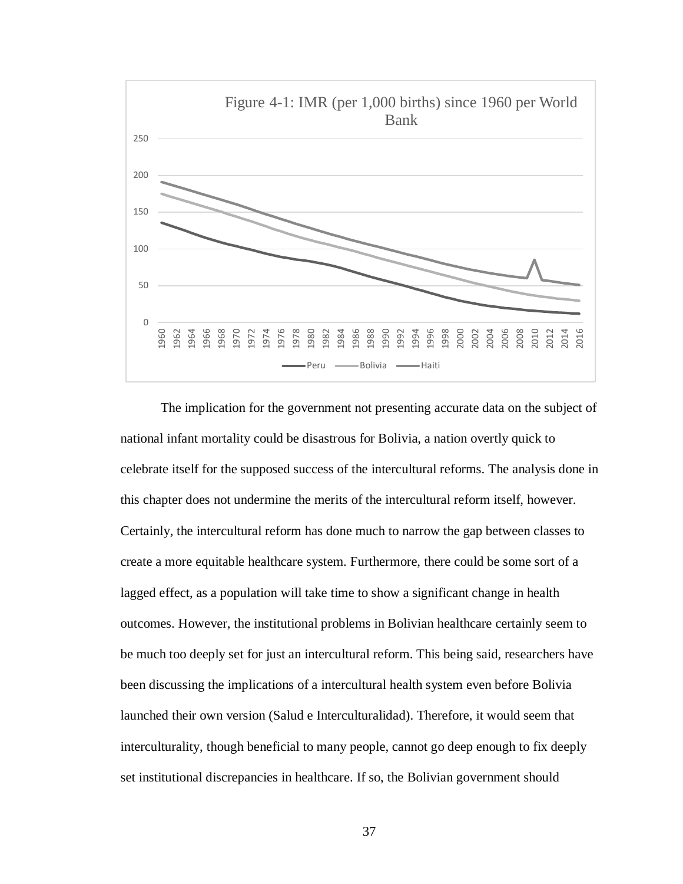

The implication for the government not presenting accurate data on the subject of national infant mortality could be disastrous for Bolivia, a nation overtly quick to celebrate itself for the supposed success of the intercultural reforms. The analysis done in this chapter does not undermine the merits of the intercultural reform itself, however. Certainly, the intercultural reform has done much to narrow the gap between classes to create a more equitable healthcare system. Furthermore, there could be some sort of a lagged effect, as a population will take time to show a significant change in health outcomes. However, the institutional problems in Bolivian healthcare certainly seem to be much too deeply set for just an intercultural reform. This being said, researchers have been discussing the implications of a intercultural health system even before Bolivia launched their own version (Salud e Interculturalidad). Therefore, it would seem that interculturality, though beneficial to many people, cannot go deep enough to fix deeply set institutional discrepancies in healthcare. If so, the Bolivian government should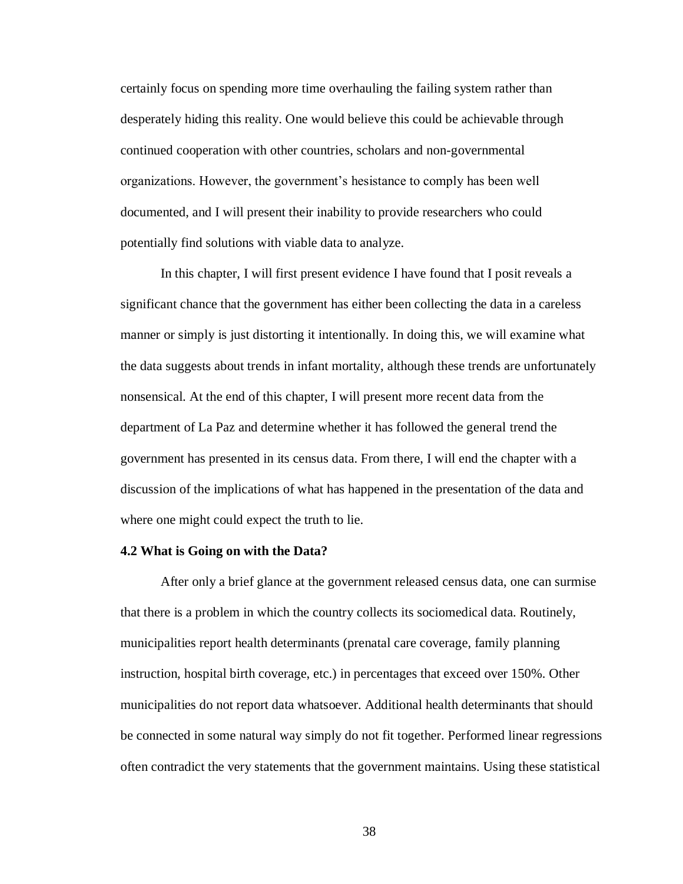certainly focus on spending more time overhauling the failing system rather than desperately hiding this reality. One would believe this could be achievable through continued cooperation with other countries, scholars and non-governmental organizations. However, the government's hesistance to comply has been well documented, and I will present their inability to provide researchers who could potentially find solutions with viable data to analyze.

In this chapter, I will first present evidence I have found that I posit reveals a significant chance that the government has either been collecting the data in a careless manner or simply is just distorting it intentionally. In doing this, we will examine what the data suggests about trends in infant mortality, although these trends are unfortunately nonsensical. At the end of this chapter, I will present more recent data from the department of La Paz and determine whether it has followed the general trend the government has presented in its census data. From there, I will end the chapter with a discussion of the implications of what has happened in the presentation of the data and where one might could expect the truth to lie.

#### **4.2 What is Going on with the Data?**

After only a brief glance at the government released census data, one can surmise that there is a problem in which the country collects its sociomedical data. Routinely, municipalities report health determinants (prenatal care coverage, family planning instruction, hospital birth coverage, etc.) in percentages that exceed over 150%. Other municipalities do not report data whatsoever. Additional health determinants that should be connected in some natural way simply do not fit together. Performed linear regressions often contradict the very statements that the government maintains. Using these statistical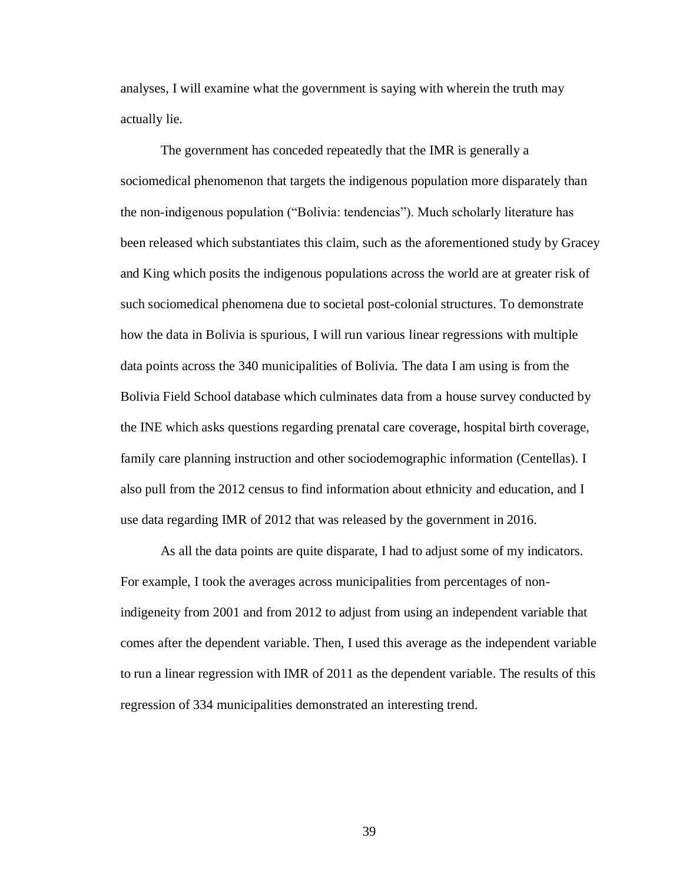analyses, I will examine what the government is saying with wherein the truth may actually lie.

The government has conceded repeatedly that the IMR is generally a sociomedical phenomenon that targets the indigenous population more disparately than the non-indigenous population ("Bolivia: tendencias"). Much scholarly literature has been released which substantiates this claim, such as the aforementioned study by Gracey and King which posits the indigenous populations across the world are at greater risk of such sociomedical phenomena due to societal post-colonial structures. To demonstrate how the data in Bolivia is spurious, I will run various linear regressions with multiple data points across the 340 municipalities of Bolivia. The data I am using is from the Bolivia Field School database which culminates data from a house survey conducted by the INE which asks questions regarding prenatal care coverage, hospital birth coverage, family care planning instruction and other sociodemographic information (Centellas). I also pull from the 2012 census to find information about ethnicity and education, and I use data regarding IMR of 2012 that was released by the government in 2016.

As all the data points are quite disparate, I had to adjust some of my indicators. For example, I took the averages across municipalities from percentages of nonindigeneity from 2001 and from 2012 to adjust from using an independent variable that comes after the dependent variable. Then, I used this average as the independent variable to run a linear regression with IMR of 2011 as the dependent variable. The results of this regression of 334 municipalities demonstrated an interesting trend.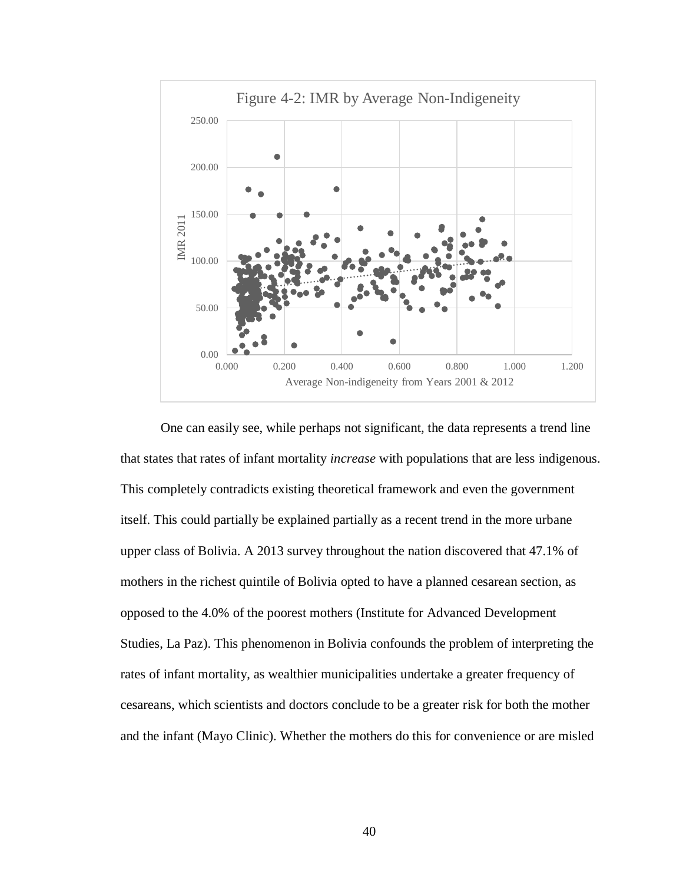

One can easily see, while perhaps not significant, the data represents a trend line that states that rates of infant mortality *increase* with populations that are less indigenous. This completely contradicts existing theoretical framework and even the government itself. This could partially be explained partially as a recent trend in the more urbane upper class of Bolivia. A 2013 survey throughout the nation discovered that 47.1% of mothers in the richest quintile of Bolivia opted to have a planned cesarean section, as opposed to the 4.0% of the poorest mothers (Institute for Advanced Development Studies, La Paz). This phenomenon in Bolivia confounds the problem of interpreting the rates of infant mortality, as wealthier municipalities undertake a greater frequency of cesareans, which scientists and doctors conclude to be a greater risk for both the mother and the infant (Mayo Clinic). Whether the mothers do this for convenience or are misled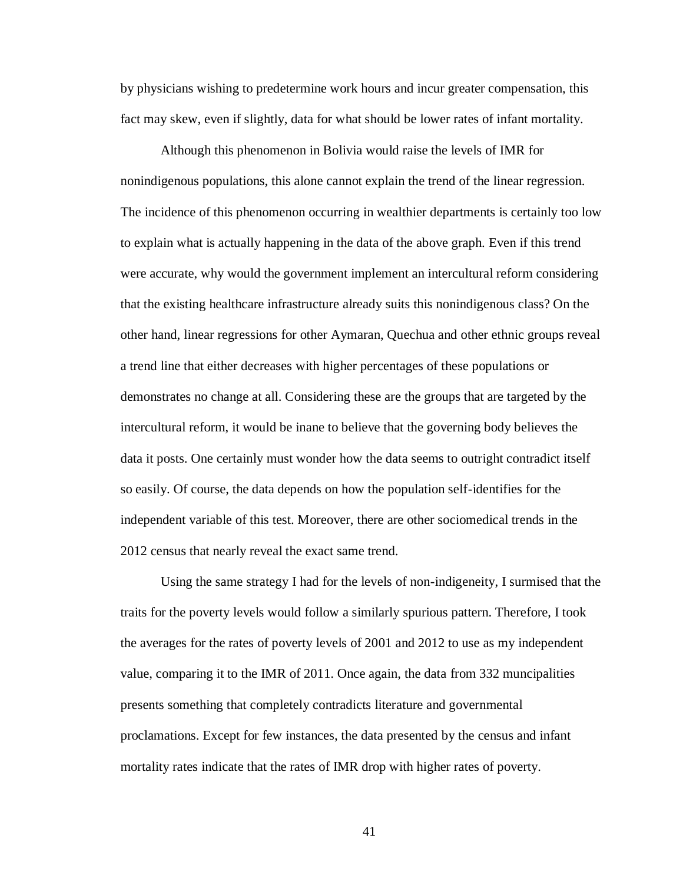by physicians wishing to predetermine work hours and incur greater compensation, this fact may skew, even if slightly, data for what should be lower rates of infant mortality.

Although this phenomenon in Bolivia would raise the levels of IMR for nonindigenous populations, this alone cannot explain the trend of the linear regression. The incidence of this phenomenon occurring in wealthier departments is certainly too low to explain what is actually happening in the data of the above graph. Even if this trend were accurate, why would the government implement an intercultural reform considering that the existing healthcare infrastructure already suits this nonindigenous class? On the other hand, linear regressions for other Aymaran, Quechua and other ethnic groups reveal a trend line that either decreases with higher percentages of these populations or demonstrates no change at all. Considering these are the groups that are targeted by the intercultural reform, it would be inane to believe that the governing body believes the data it posts. One certainly must wonder how the data seems to outright contradict itself so easily. Of course, the data depends on how the population self-identifies for the independent variable of this test. Moreover, there are other sociomedical trends in the 2012 census that nearly reveal the exact same trend.

Using the same strategy I had for the levels of non-indigeneity, I surmised that the traits for the poverty levels would follow a similarly spurious pattern. Therefore, I took the averages for the rates of poverty levels of 2001 and 2012 to use as my independent value, comparing it to the IMR of 2011. Once again, the data from 332 muncipalities presents something that completely contradicts literature and governmental proclamations. Except for few instances, the data presented by the census and infant mortality rates indicate that the rates of IMR drop with higher rates of poverty.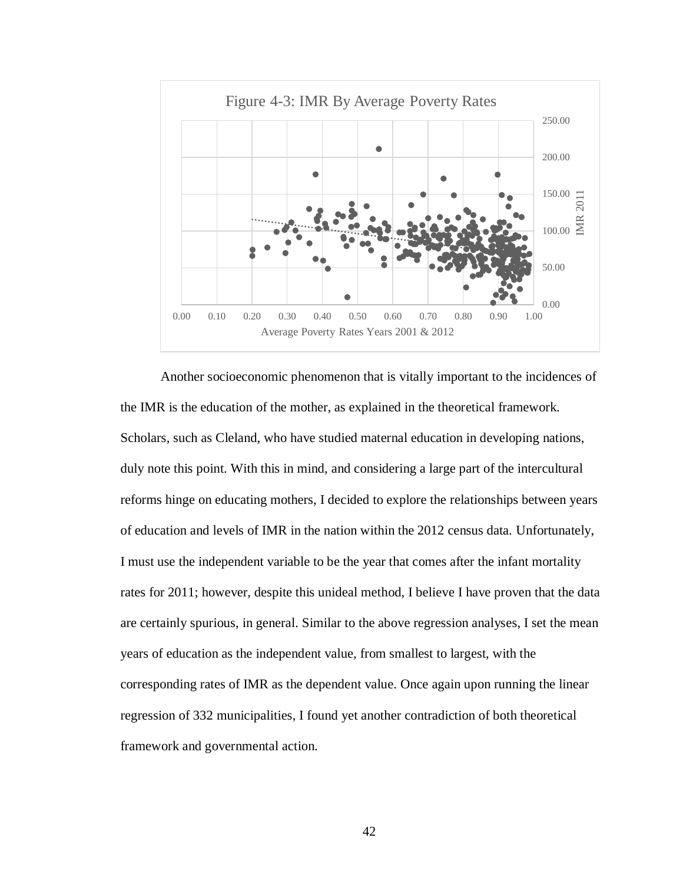

Another socioeconomic phenomenon that is vitally important to the incidences of the IMR is the education of the mother, as explained in the theoretical framework. Scholars, such as Cleland, who have studied maternal education in developing nations, duly note this point. With this in mind, and considering a large part of the intercultural reforms hinge on educating mothers, I decided to explore the relationships between years of education and levels of IMR in the nation within the 2012 census data. Unfortunately, I must use the independent variable to be the year that comes after the infant mortality rates for 2011; however, despite this unideal method, I believe I have proven that the data are certainly spurious, in general. Similar to the above regression analyses, I set the mean years of education as the independent value, from smallest to largest, with the corresponding rates of IMR as the dependent value. Once again upon running the linear regression of 332 municipalities, I found yet another contradiction of both theoretical framework and governmental action.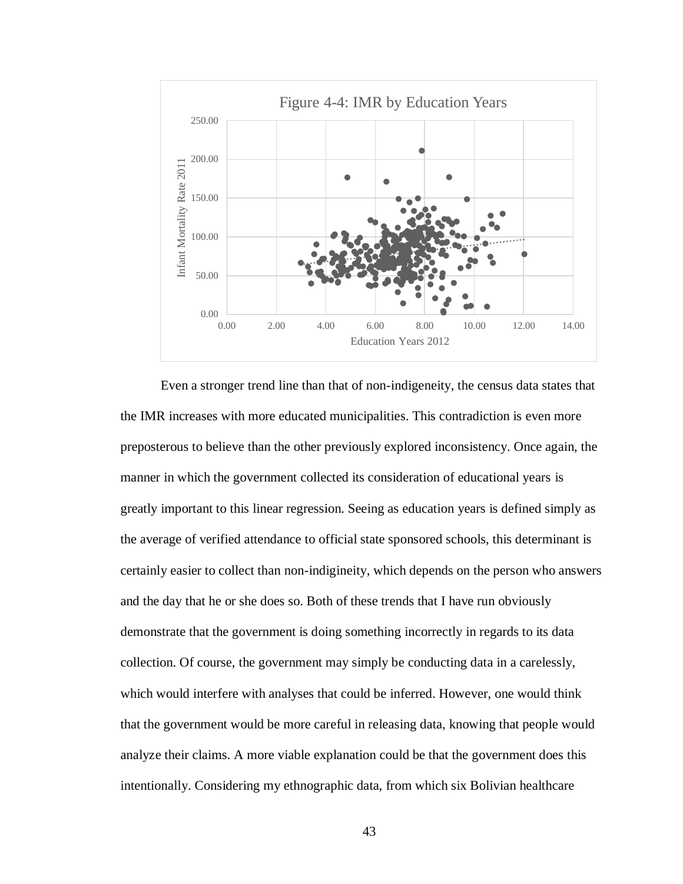

Even a stronger trend line than that of non-indigeneity, the census data states that the IMR increases with more educated municipalities. This contradiction is even more preposterous to believe than the other previously explored inconsistency. Once again, the manner in which the government collected its consideration of educational years is greatly important to this linear regression. Seeing as education years is defined simply as the average of verified attendance to official state sponsored schools, this determinant is certainly easier to collect than non-indigineity, which depends on the person who answers and the day that he or she does so. Both of these trends that I have run obviously demonstrate that the government is doing something incorrectly in regards to its data collection. Of course, the government may simply be conducting data in a carelessly, which would interfere with analyses that could be inferred. However, one would think that the government would be more careful in releasing data, knowing that people would analyze their claims. A more viable explanation could be that the government does this intentionally. Considering my ethnographic data, from which six Bolivian healthcare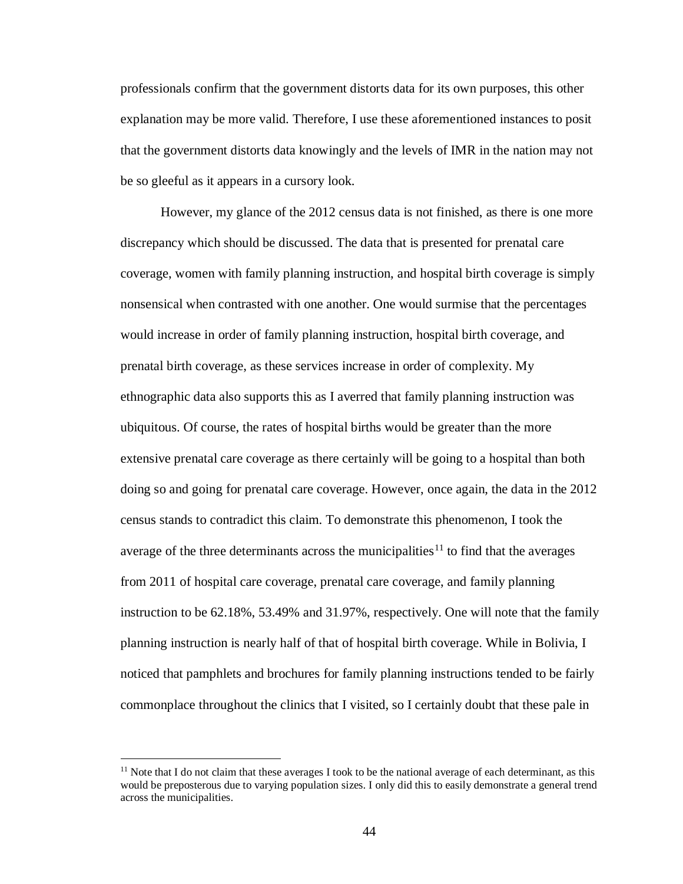professionals confirm that the government distorts data for its own purposes, this other explanation may be more valid. Therefore, I use these aforementioned instances to posit that the government distorts data knowingly and the levels of IMR in the nation may not be so gleeful as it appears in a cursory look.

However, my glance of the 2012 census data is not finished, as there is one more discrepancy which should be discussed. The data that is presented for prenatal care coverage, women with family planning instruction, and hospital birth coverage is simply nonsensical when contrasted with one another. One would surmise that the percentages would increase in order of family planning instruction, hospital birth coverage, and prenatal birth coverage, as these services increase in order of complexity. My ethnographic data also supports this as I averred that family planning instruction was ubiquitous. Of course, the rates of hospital births would be greater than the more extensive prenatal care coverage as there certainly will be going to a hospital than both doing so and going for prenatal care coverage. However, once again, the data in the 2012 census stands to contradict this claim. To demonstrate this phenomenon, I took the average of the three determinants across the municipalities<sup>11</sup> to find that the averages from 2011 of hospital care coverage, prenatal care coverage, and family planning instruction to be 62.18%, 53.49% and 31.97%, respectively. One will note that the family planning instruction is nearly half of that of hospital birth coverage. While in Bolivia, I noticed that pamphlets and brochures for family planning instructions tended to be fairly commonplace throughout the clinics that I visited, so I certainly doubt that these pale in

<sup>&</sup>lt;sup>11</sup> Note that I do not claim that these averages I took to be the national average of each determinant, as this would be preposterous due to varying population sizes. I only did this to easily demonstrate a general trend across the municipalities.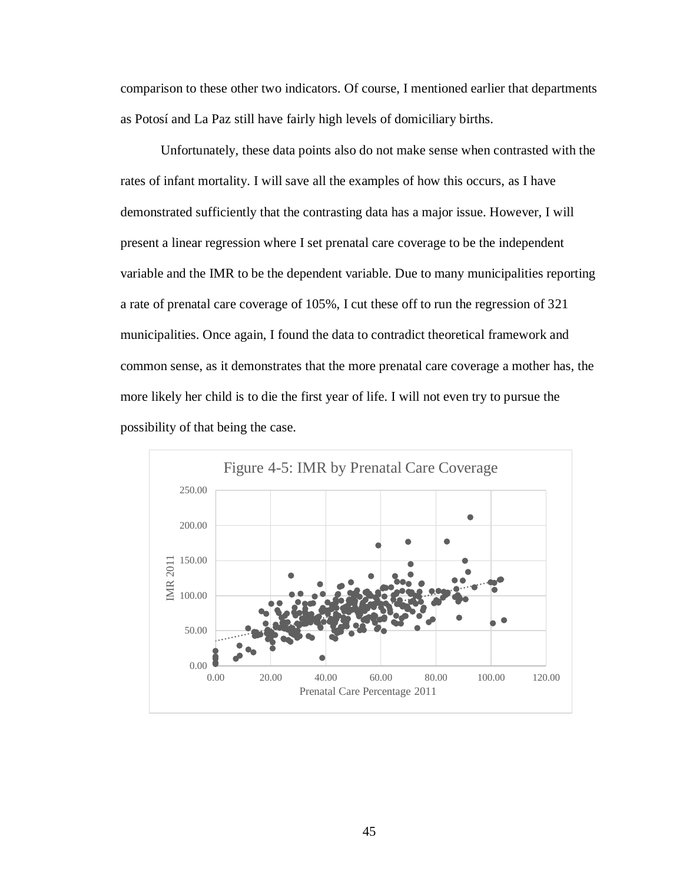comparison to these other two indicators. Of course, I mentioned earlier that departments as Potosí and La Paz still have fairly high levels of domiciliary births.

Unfortunately, these data points also do not make sense when contrasted with the rates of infant mortality. I will save all the examples of how this occurs, as I have demonstrated sufficiently that the contrasting data has a major issue. However, I will present a linear regression where I set prenatal care coverage to be the independent variable and the IMR to be the dependent variable. Due to many municipalities reporting a rate of prenatal care coverage of 105%, I cut these off to run the regression of 321 municipalities. Once again, I found the data to contradict theoretical framework and common sense, as it demonstrates that the more prenatal care coverage a mother has, the more likely her child is to die the first year of life. I will not even try to pursue the possibility of that being the case.

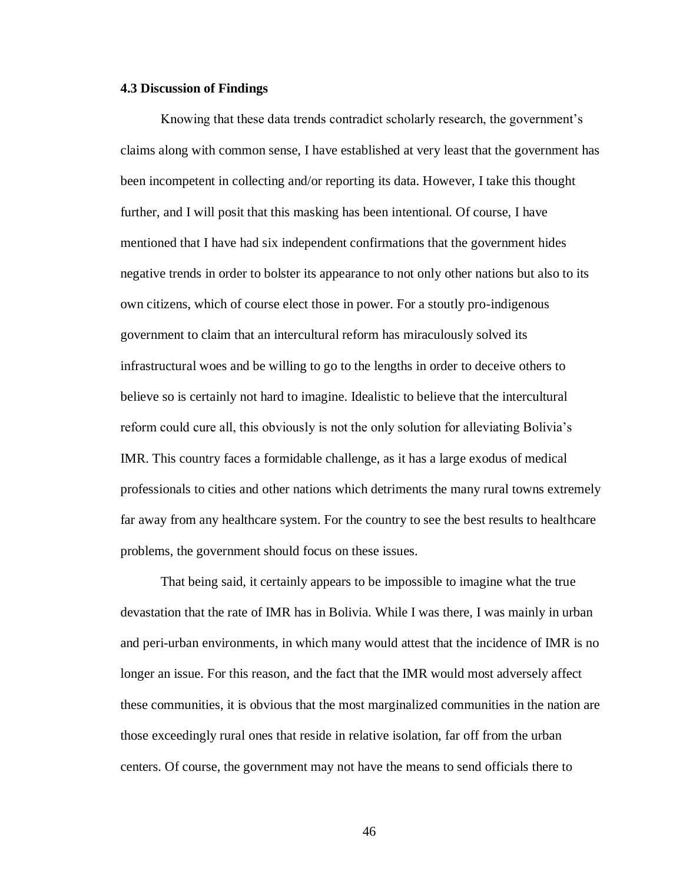#### **4.3 Discussion of Findings**

Knowing that these data trends contradict scholarly research, the government's claims along with common sense, I have established at very least that the government has been incompetent in collecting and/or reporting its data. However, I take this thought further, and I will posit that this masking has been intentional. Of course, I have mentioned that I have had six independent confirmations that the government hides negative trends in order to bolster its appearance to not only other nations but also to its own citizens, which of course elect those in power. For a stoutly pro-indigenous government to claim that an intercultural reform has miraculously solved its infrastructural woes and be willing to go to the lengths in order to deceive others to believe so is certainly not hard to imagine. Idealistic to believe that the intercultural reform could cure all, this obviously is not the only solution for alleviating Bolivia's IMR. This country faces a formidable challenge, as it has a large exodus of medical professionals to cities and other nations which detriments the many rural towns extremely far away from any healthcare system. For the country to see the best results to healthcare problems, the government should focus on these issues.

That being said, it certainly appears to be impossible to imagine what the true devastation that the rate of IMR has in Bolivia. While I was there, I was mainly in urban and peri-urban environments, in which many would attest that the incidence of IMR is no longer an issue. For this reason, and the fact that the IMR would most adversely affect these communities, it is obvious that the most marginalized communities in the nation are those exceedingly rural ones that reside in relative isolation, far off from the urban centers. Of course, the government may not have the means to send officials there to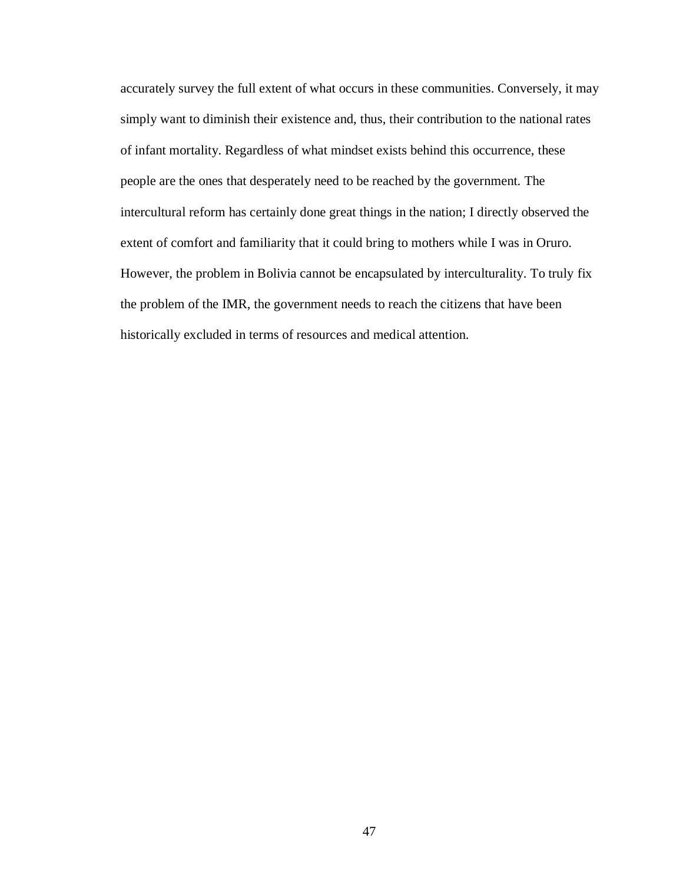accurately survey the full extent of what occurs in these communities. Conversely, it may simply want to diminish their existence and, thus, their contribution to the national rates of infant mortality. Regardless of what mindset exists behind this occurrence, these people are the ones that desperately need to be reached by the government. The intercultural reform has certainly done great things in the nation; I directly observed the extent of comfort and familiarity that it could bring to mothers while I was in Oruro. However, the problem in Bolivia cannot be encapsulated by interculturality. To truly fix the problem of the IMR, the government needs to reach the citizens that have been historically excluded in terms of resources and medical attention.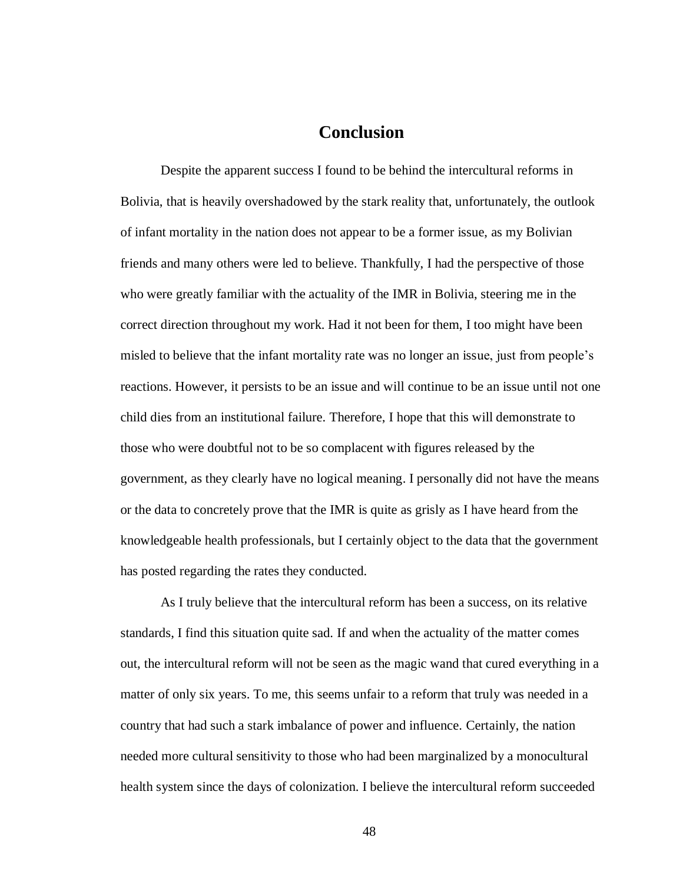## **Conclusion**

Despite the apparent success I found to be behind the intercultural reforms in Bolivia, that is heavily overshadowed by the stark reality that, unfortunately, the outlook of infant mortality in the nation does not appear to be a former issue, as my Bolivian friends and many others were led to believe. Thankfully, I had the perspective of those who were greatly familiar with the actuality of the IMR in Bolivia, steering me in the correct direction throughout my work. Had it not been for them, I too might have been misled to believe that the infant mortality rate was no longer an issue, just from people's reactions. However, it persists to be an issue and will continue to be an issue until not one child dies from an institutional failure. Therefore, I hope that this will demonstrate to those who were doubtful not to be so complacent with figures released by the government, as they clearly have no logical meaning. I personally did not have the means or the data to concretely prove that the IMR is quite as grisly as I have heard from the knowledgeable health professionals, but I certainly object to the data that the government has posted regarding the rates they conducted.

As I truly believe that the intercultural reform has been a success, on its relative standards, I find this situation quite sad. If and when the actuality of the matter comes out, the intercultural reform will not be seen as the magic wand that cured everything in a matter of only six years. To me, this seems unfair to a reform that truly was needed in a country that had such a stark imbalance of power and influence. Certainly, the nation needed more cultural sensitivity to those who had been marginalized by a monocultural health system since the days of colonization. I believe the intercultural reform succeeded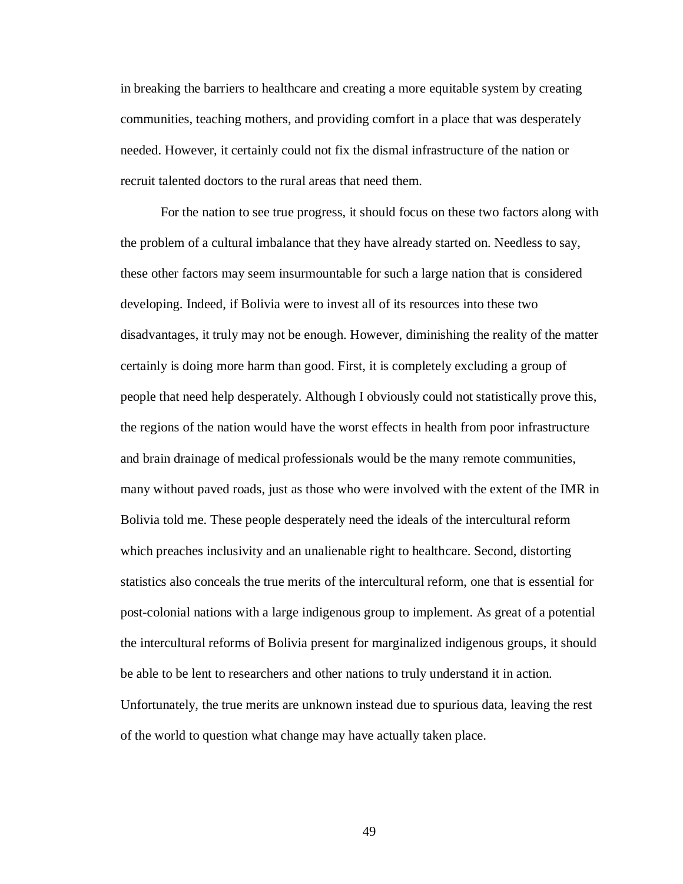in breaking the barriers to healthcare and creating a more equitable system by creating communities, teaching mothers, and providing comfort in a place that was desperately needed. However, it certainly could not fix the dismal infrastructure of the nation or recruit talented doctors to the rural areas that need them.

For the nation to see true progress, it should focus on these two factors along with the problem of a cultural imbalance that they have already started on. Needless to say, these other factors may seem insurmountable for such a large nation that is considered developing. Indeed, if Bolivia were to invest all of its resources into these two disadvantages, it truly may not be enough. However, diminishing the reality of the matter certainly is doing more harm than good. First, it is completely excluding a group of people that need help desperately. Although I obviously could not statistically prove this, the regions of the nation would have the worst effects in health from poor infrastructure and brain drainage of medical professionals would be the many remote communities, many without paved roads, just as those who were involved with the extent of the IMR in Bolivia told me. These people desperately need the ideals of the intercultural reform which preaches inclusivity and an unalienable right to healthcare. Second, distorting statistics also conceals the true merits of the intercultural reform, one that is essential for post-colonial nations with a large indigenous group to implement. As great of a potential the intercultural reforms of Bolivia present for marginalized indigenous groups, it should be able to be lent to researchers and other nations to truly understand it in action. Unfortunately, the true merits are unknown instead due to spurious data, leaving the rest of the world to question what change may have actually taken place.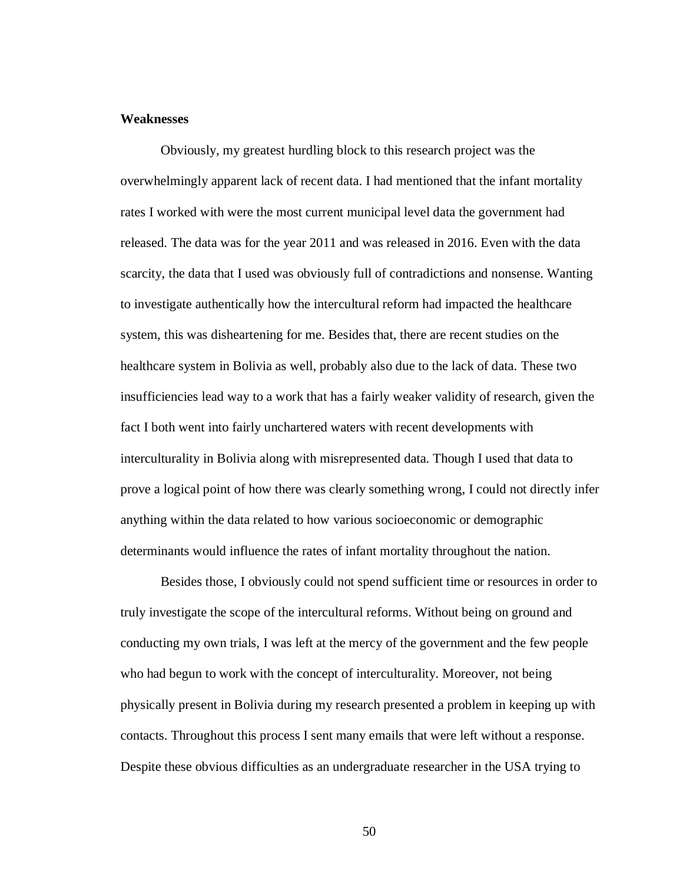#### **Weaknesses**

Obviously, my greatest hurdling block to this research project was the overwhelmingly apparent lack of recent data. I had mentioned that the infant mortality rates I worked with were the most current municipal level data the government had released. The data was for the year 2011 and was released in 2016. Even with the data scarcity, the data that I used was obviously full of contradictions and nonsense. Wanting to investigate authentically how the intercultural reform had impacted the healthcare system, this was disheartening for me. Besides that, there are recent studies on the healthcare system in Bolivia as well, probably also due to the lack of data. These two insufficiencies lead way to a work that has a fairly weaker validity of research, given the fact I both went into fairly unchartered waters with recent developments with interculturality in Bolivia along with misrepresented data. Though I used that data to prove a logical point of how there was clearly something wrong, I could not directly infer anything within the data related to how various socioeconomic or demographic determinants would influence the rates of infant mortality throughout the nation.

Besides those, I obviously could not spend sufficient time or resources in order to truly investigate the scope of the intercultural reforms. Without being on ground and conducting my own trials, I was left at the mercy of the government and the few people who had begun to work with the concept of interculturality. Moreover, not being physically present in Bolivia during my research presented a problem in keeping up with contacts. Throughout this process I sent many emails that were left without a response. Despite these obvious difficulties as an undergraduate researcher in the USA trying to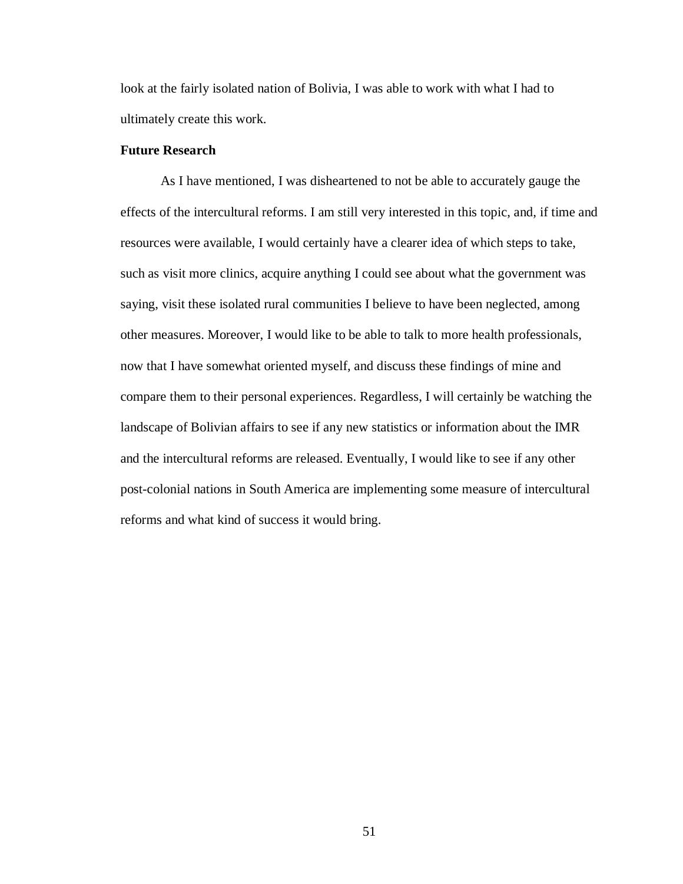look at the fairly isolated nation of Bolivia, I was able to work with what I had to ultimately create this work.

#### **Future Research**

As I have mentioned, I was disheartened to not be able to accurately gauge the effects of the intercultural reforms. I am still very interested in this topic, and, if time and resources were available, I would certainly have a clearer idea of which steps to take, such as visit more clinics, acquire anything I could see about what the government was saying, visit these isolated rural communities I believe to have been neglected, among other measures. Moreover, I would like to be able to talk to more health professionals, now that I have somewhat oriented myself, and discuss these findings of mine and compare them to their personal experiences. Regardless, I will certainly be watching the landscape of Bolivian affairs to see if any new statistics or information about the IMR and the intercultural reforms are released. Eventually, I would like to see if any other post-colonial nations in South America are implementing some measure of intercultural reforms and what kind of success it would bring.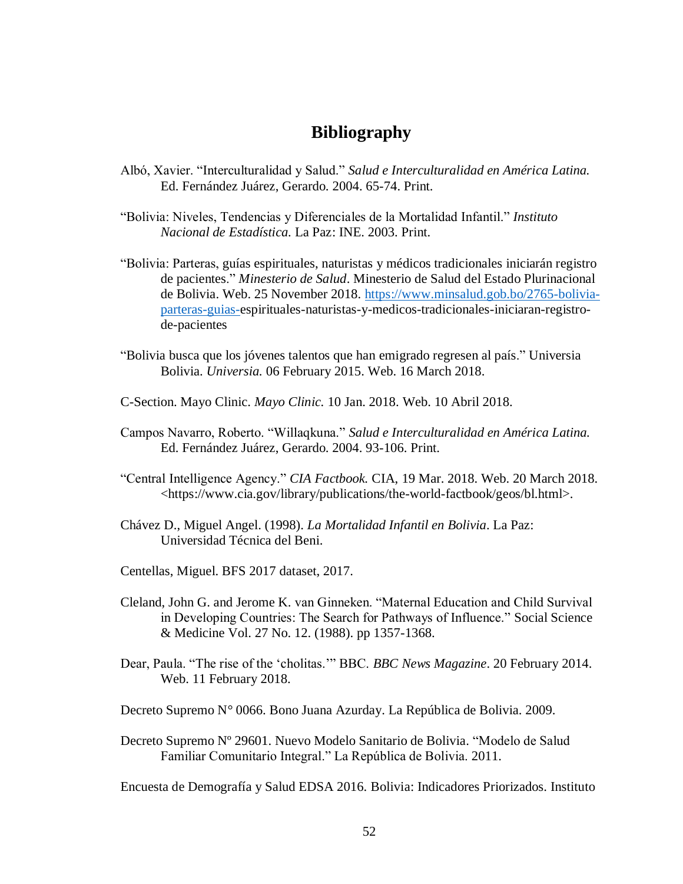## **Bibliography**

- Albó, Xavier. "Interculturalidad y Salud." *Salud e Interculturalidad en América Latina.*  Ed. Fernández Juárez, Gerardo. 2004. 65-74. Print.
- "Bolivia: Niveles, Tendencias y Diferenciales de la Mortalidad Infantil." *Instituto Nacional de Estadística.* La Paz: INE. 2003. Print.
- "Bolivia: Parteras, guías espirituales, naturistas y médicos tradicionales iniciarán registro de pacientes." *Minesterio de Salud*. Minesterio de Salud del Estado Plurinacional de Bolivia. Web. 25 November 2018. [https://www.minsalud.gob.bo/2765-bolivia](https://www.minsalud.gob.bo/2765-bolivia-parteras-guias-)[parteras-guias-e](https://www.minsalud.gob.bo/2765-bolivia-parteras-guias-)spirituales-naturistas-y-medicos-tradicionales-iniciaran-registrode-pacientes
- "Bolivia busca que los jóvenes talentos que han emigrado regresen al país." Universia Bolivia. *Universia.* 06 February 2015. Web. 16 March 2018.
- C-Section. Mayo Clinic. *Mayo Clinic.* 10 Jan. 2018. Web. 10 Abril 2018.
- Campos Navarro, Roberto. "Willaqkuna." *Salud e Interculturalidad en América Latina.*  Ed. Fernández Juárez, Gerardo. 2004. 93-106. Print.
- "Central Intelligence Agency." *CIA Factbook.* CIA, 19 Mar. 2018. Web. 20 March 2018. <https://www.cia.gov/library/publications/the-world-factbook/geos/bl.html>.
- Chávez D., Miguel Angel. (1998). *La Mortalidad Infantil en Bolivia*. La Paz: Universidad Técnica del Beni.
- Centellas, Miguel. BFS 2017 dataset, 2017.
- Cleland, John G. and Jerome K. van Ginneken. "Maternal Education and Child Survival in Developing Countries: The Search for Pathways of Influence." Social Science & Medicine Vol. 27 No. 12. (1988). pp 1357-1368.
- Dear, Paula. "The rise of the 'cholitas.'" BBC. *BBC News Magazine*. 20 February 2014. Web. 11 February 2018.
- Decreto Supremo N° 0066. Bono Juana Azurday. La República de Bolivia. 2009.
- Decreto Supremo Nº 29601. Nuevo Modelo Sanitario de Bolivia. "Modelo de Salud Familiar Comunitario Integral." La República de Bolivia. 2011.

Encuesta de Demografía y Salud EDSA 2016. Bolivia: Indicadores Priorizados. Instituto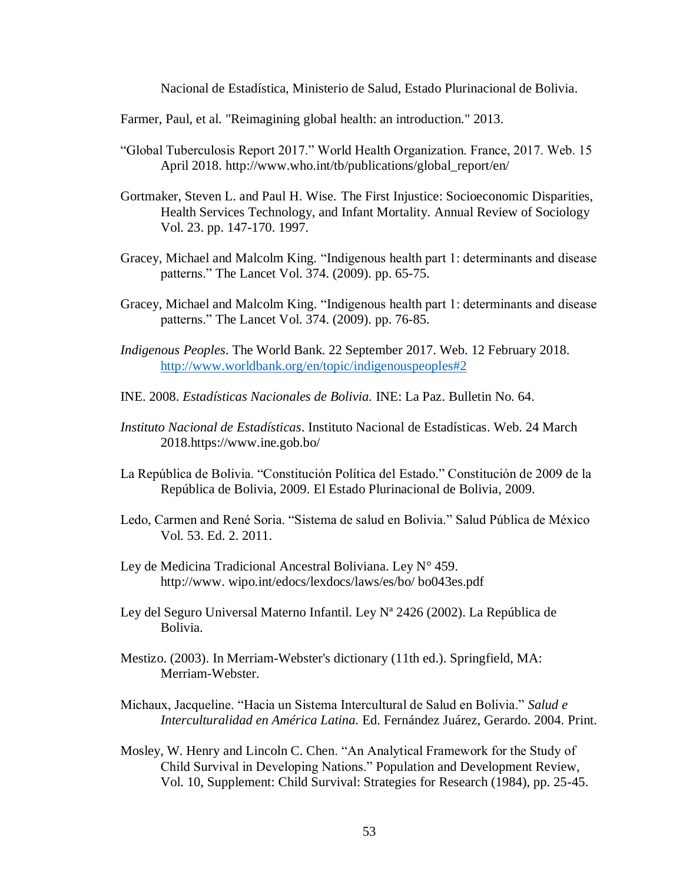Nacional de Estadística, Ministerio de Salud, Estado Plurinacional de Bolivia.

Farmer, Paul, et al. "Reimagining global health: an introduction." 2013.

- "Global Tuberculosis Report 2017." World Health Organization. France, 2017. Web. 15 April 2018. http://www.who.int/tb/publications/global\_report/en/
- Gortmaker, Steven L. and Paul H. Wise. The First Injustice: Socioeconomic Disparities, Health Services Technology, and Infant Mortality. Annual Review of Sociology Vol. 23. pp. 147-170. 1997.
- Gracey, Michael and Malcolm King. "Indigenous health part 1: determinants and disease patterns." The Lancet Vol. 374. (2009). pp. 65-75.
- Gracey, Michael and Malcolm King. "Indigenous health part 1: determinants and disease patterns." The Lancet Vol. 374. (2009). pp. 76-85.
- *Indigenous Peoples*. The World Bank. 22 September 2017. Web. 12 February 2018. <http://www.worldbank.org/en/topic/indigenouspeoples#2>
- INE. 2008. *Estadísticas Nacionales de Bolivia.* INE: La Paz. Bulletin No. 64.
- *Instituto Nacional de Estadísticas*. Instituto Nacional de Estadísticas. Web. 24 March 2018.https://www.ine.gob.bo/
- La República de Bolivia. "Constitución Política del Estado." Constitución de 2009 de la República de Bolivia, 2009. El Estado Plurinacional de Bolivia, 2009.
- Ledo, Carmen and René Soria. "Sistema de salud en Bolivia." Salud Pública de México Vol. 53. Ed. 2. 2011.
- Ley de Medicina Tradicional Ancestral Boliviana. Ley N° 459. http://www. wipo.int/edocs/lexdocs/laws/es/bo/ bo043es.pdf
- Ley del Seguro Universal Materno Infantil. Ley Nª 2426 (2002). La República de Bolivia.
- Mestizo. (2003). In Merriam-Webster's dictionary (11th ed.). Springfield, MA: Merriam-Webster.
- Michaux, Jacqueline. "Hacia un Sistema Intercultural de Salud en Bolivia." *Salud e Interculturalidad en América Latina.* Ed. Fernández Juárez, Gerardo. 2004. Print.
- Mosley, W. Henry and Lincoln C. Chen. "An Analytical Framework for the Study of Child Survival in Developing Nations." Population and Development Review, Vol. 10, Supplement: Child Survival: Strategies for Research (1984), pp. 25-45.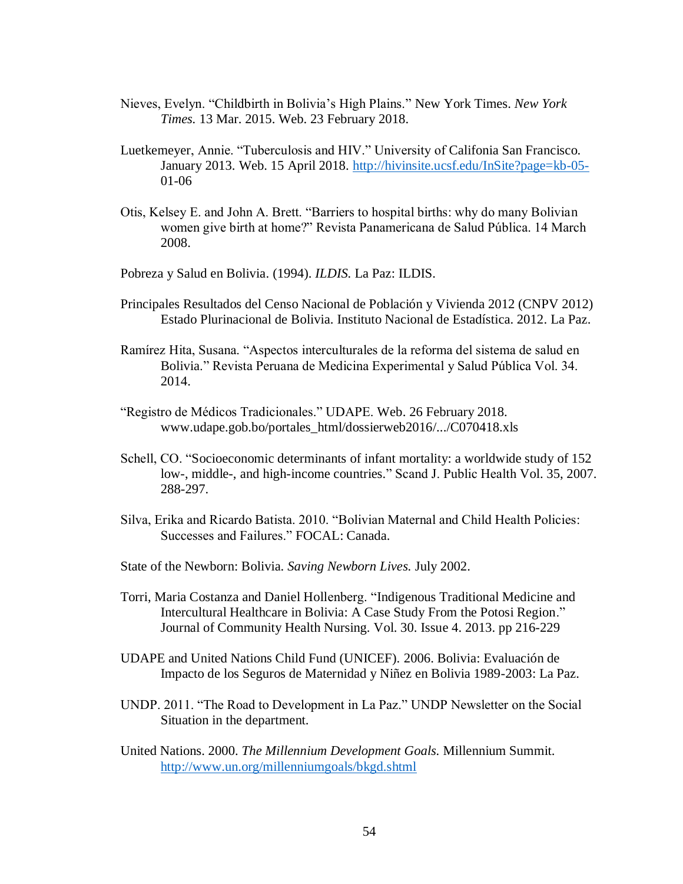- Nieves, Evelyn. "Childbirth in Bolivia's High Plains." New York Times. *New York Times.* 13 Mar. 2015. Web. 23 February 2018.
- Luetkemeyer, Annie. "Tuberculosis and HIV." University of Califonia San Francisco. January 2013. Web. 15 April 2018.<http://hivinsite.ucsf.edu/InSite?page=kb-05-> 01-06
- Otis, Kelsey E. and John A. Brett. "Barriers to hospital births: why do many Bolivian women give birth at home?" Revista Panamericana de Salud Pública. 14 March 2008.
- Pobreza y Salud en Bolivia. (1994). *ILDIS.* La Paz: ILDIS.
- Principales Resultados del Censo Nacional de Población y Vivienda 2012 (CNPV 2012) Estado Plurinacional de Bolivia. Instituto Nacional de Estadística. 2012. La Paz.
- Ramírez Hita, Susana. "Aspectos interculturales de la reforma del sistema de salud en Bolivia." Revista Peruana de Medicina Experimental y Salud Pública Vol. 34. 2014.
- "Registro de Médicos Tradicionales." UDAPE. Web. 26 February 2018. www.udape.gob.bo/portales\_html/dossierweb2016/.../C070418.xls
- Schell, CO. "Socioeconomic determinants of infant mortality: a worldwide study of 152 low-, middle-, and high-income countries." Scand J. Public Health Vol. 35, 2007. 288-297.
- Silva, Erika and Ricardo Batista. 2010. "Bolivian Maternal and Child Health Policies: Successes and Failures." FOCAL: Canada.
- State of the Newborn: Bolivia. *Saving Newborn Lives.* July 2002.
- Torri, Maria Costanza and Daniel Hollenberg. "Indigenous Traditional Medicine and Intercultural Healthcare in Bolivia: A Case Study From the Potosi Region." Journal of Community Health Nursing. Vol. 30. Issue 4. 2013. pp 216-229
- UDAPE and United Nations Child Fund (UNICEF). 2006. Bolivia: Evaluación de Impacto de los Seguros de Maternidad y Niñez en Bolivia 1989-2003: La Paz.
- UNDP. 2011. "The Road to Development in La Paz." UNDP Newsletter on the Social Situation in the department.
- United Nations. 2000. *The Millennium Development Goals.* Millennium Summit. <http://www.un.org/millenniumgoals/bkgd.shtml>